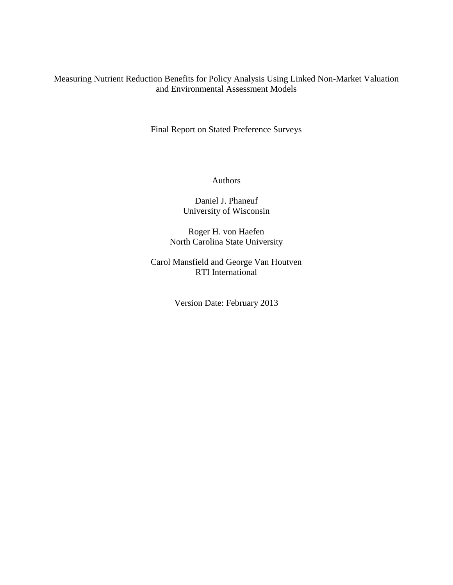## Measuring Nutrient Reduction Benefits for Policy Analysis Using Linked Non-Market Valuation and Environmental Assessment Models

Final Report on Stated Preference Surveys

### Authors

## Daniel J. Phaneuf University of Wisconsin

Roger H. von Haefen North Carolina State University

Carol Mansfield and George Van Houtven RTI International

Version Date: February 2013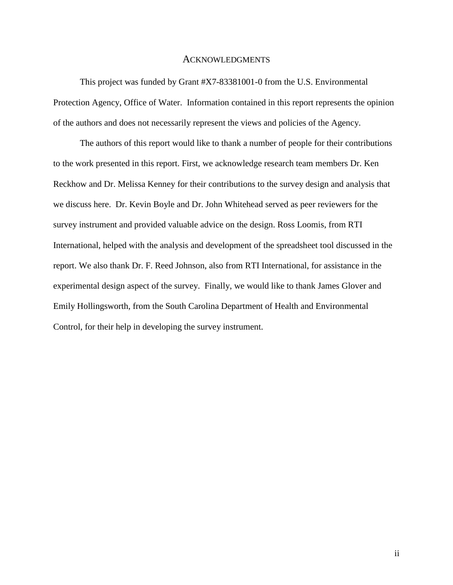#### ACKNOWLEDGMENTS

This project was funded by Grant #X7-83381001-0 from the U.S. Environmental Protection Agency, Office of Water. Information contained in this report represents the opinion of the authors and does not necessarily represent the views and policies of the Agency.

The authors of this report would like to thank a number of people for their contributions to the work presented in this report. First, we acknowledge research team members Dr. Ken Reckhow and Dr. Melissa Kenney for their contributions to the survey design and analysis that we discuss here. Dr. Kevin Boyle and Dr. John Whitehead served as peer reviewers for the survey instrument and provided valuable advice on the design. Ross Loomis, from RTI International, helped with the analysis and development of the spreadsheet tool discussed in the report. We also thank Dr. F. Reed Johnson, also from RTI International, for assistance in the experimental design aspect of the survey. Finally, we would like to thank James Glover and Emily Hollingsworth, from the South Carolina Department of Health and Environmental Control, for their help in developing the survey instrument.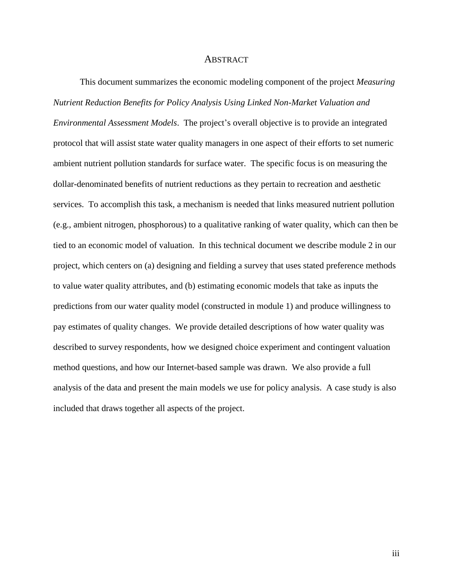#### ABSTRACT

This document summarizes the economic modeling component of the project *Measuring Nutrient Reduction Benefits for Policy Analysis Using Linked Non-Market Valuation and Environmental Assessment Models*. The project's overall objective is to provide an integrated protocol that will assist state water quality managers in one aspect of their efforts to set numeric ambient nutrient pollution standards for surface water. The specific focus is on measuring the dollar-denominated benefits of nutrient reductions as they pertain to recreation and aesthetic services. To accomplish this task, a mechanism is needed that links measured nutrient pollution (e.g., ambient nitrogen, phosphorous) to a qualitative ranking of water quality, which can then be tied to an economic model of valuation. In this technical document we describe module 2 in our project, which centers on (a) designing and fielding a survey that uses stated preference methods to value water quality attributes, and (b) estimating economic models that take as inputs the predictions from our water quality model (constructed in module 1) and produce willingness to pay estimates of quality changes. We provide detailed descriptions of how water quality was described to survey respondents, how we designed choice experiment and contingent valuation method questions, and how our Internet-based sample was drawn. We also provide a full analysis of the data and present the main models we use for policy analysis. A case study is also included that draws together all aspects of the project.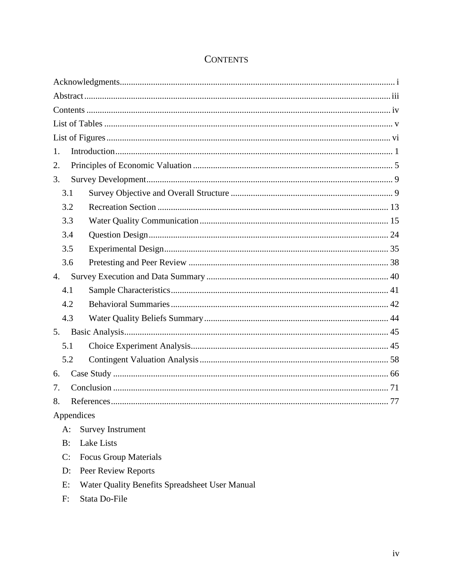| 1.         |                              |  |  |  |  |
|------------|------------------------------|--|--|--|--|
| 2.         |                              |  |  |  |  |
| 3.         |                              |  |  |  |  |
| 3.1        |                              |  |  |  |  |
| 3.2        |                              |  |  |  |  |
| 3.3        |                              |  |  |  |  |
| 3.4        |                              |  |  |  |  |
| 3.5        |                              |  |  |  |  |
| 3.6        |                              |  |  |  |  |
| 4.         |                              |  |  |  |  |
| 4.1        |                              |  |  |  |  |
| 4.2        |                              |  |  |  |  |
| 4.3        |                              |  |  |  |  |
|            |                              |  |  |  |  |
| 5.1        |                              |  |  |  |  |
| 5.2        |                              |  |  |  |  |
| 6.         |                              |  |  |  |  |
| 7.         |                              |  |  |  |  |
| 8.         |                              |  |  |  |  |
| Appendices |                              |  |  |  |  |
| $A$ :      | <b>Survey Instrument</b>     |  |  |  |  |
| B:         | <b>Lake Lists</b>            |  |  |  |  |
| C:         | <b>Focus Group Materials</b> |  |  |  |  |

D: Peer Review Reports

Stata Do-File

 $F:$ 

E: Water Quality Benefits Spreadsheet User Manual

# **CONTENTS**

 $iv$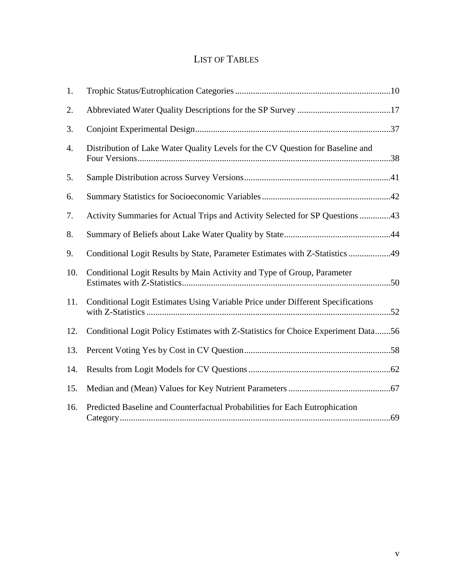# LIST OF TABLES

| 1.  |                                                                                   |  |
|-----|-----------------------------------------------------------------------------------|--|
| 2.  |                                                                                   |  |
| 3.  |                                                                                   |  |
| 4.  | Distribution of Lake Water Quality Levels for the CV Question for Baseline and    |  |
| 5.  |                                                                                   |  |
| 6.  |                                                                                   |  |
| 7.  | Activity Summaries for Actual Trips and Activity Selected for SP Questions 43     |  |
| 8.  |                                                                                   |  |
| 9.  |                                                                                   |  |
| 10. | Conditional Logit Results by Main Activity and Type of Group, Parameter           |  |
| 11. | Conditional Logit Estimates Using Variable Price under Different Specifications   |  |
| 12. | Conditional Logit Policy Estimates with Z-Statistics for Choice Experiment Data56 |  |
| 13. |                                                                                   |  |
| 14. |                                                                                   |  |
| 15. |                                                                                   |  |
| 16. | Predicted Baseline and Counterfactual Probabilities for Each Eutrophication       |  |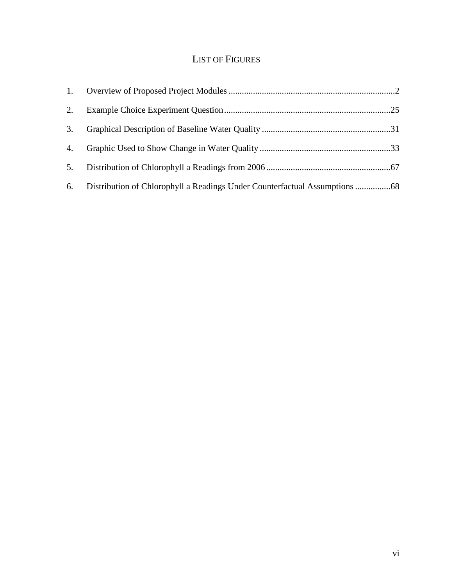# LIST OF FIGURES

| 2. |  |
|----|--|
| 3. |  |
| 4. |  |
| 5. |  |
| 6. |  |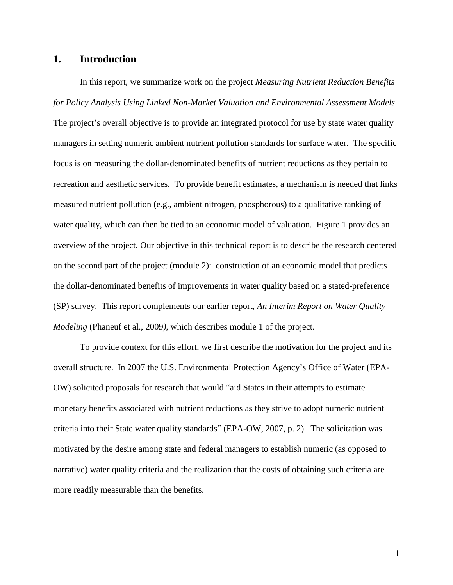### **1. Introduction**

In this report, we summarize work on the project *Measuring Nutrient Reduction Benefits for Policy Analysis Using Linked Non-Market Valuation and Environmental Assessment Models*. The project's overall objective is to provide an integrated protocol for use by state water quality managers in setting numeric ambient nutrient pollution standards for surface water. The specific focus is on measuring the dollar-denominated benefits of nutrient reductions as they pertain to recreation and aesthetic services. To provide benefit estimates, a mechanism is needed that links measured nutrient pollution (e.g., ambient nitrogen, phosphorous) to a qualitative ranking of water quality, which can then be tied to an economic model of valuation. Figure 1 provides an overview of the project. Our objective in this technical report is to describe the research centered on the second part of the project (module 2): construction of an economic model that predicts the dollar-denominated benefits of improvements in water quality based on a stated-preference (SP) survey. This report complements our earlier report, *An Interim Report on Water Quality Modeling* (Phaneuf et al., 2009*)*, which describes module 1 of the project.

To provide context for this effort, we first describe the motivation for the project and its overall structure. In 2007 the U.S. Environmental Protection Agency's Office of Water (EPA-OW) solicited proposals for research that would "aid States in their attempts to estimate monetary benefits associated with nutrient reductions as they strive to adopt numeric nutrient criteria into their State water quality standards" (EPA-OW, 2007, p. 2). The solicitation was motivated by the desire among state and federal managers to establish numeric (as opposed to narrative) water quality criteria and the realization that the costs of obtaining such criteria are more readily measurable than the benefits.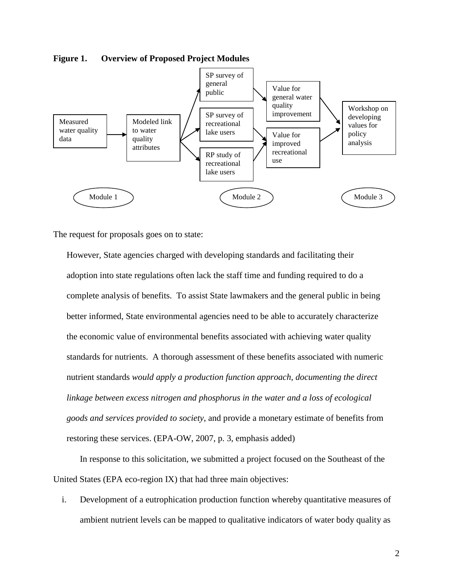

**Figure 1. Overview of Proposed Project Modules**

The request for proposals goes on to state:

However, State agencies charged with developing standards and facilitating their adoption into state regulations often lack the staff time and funding required to do a complete analysis of benefits. To assist State lawmakers and the general public in being better informed, State environmental agencies need to be able to accurately characterize the economic value of environmental benefits associated with achieving water quality standards for nutrients. A thorough assessment of these benefits associated with numeric nutrient standards *would apply a production function approach, documenting the direct linkage between excess nitrogen and phosphorus in the water and a loss of ecological goods and services provided to society*, and provide a monetary estimate of benefits from restoring these services. (EPA-OW, 2007, p. 3, emphasis added)

In response to this solicitation, we submitted a project focused on the Southeast of the United States (EPA eco-region IX) that had three main objectives:

i. Development of a eutrophication production function whereby quantitative measures of ambient nutrient levels can be mapped to qualitative indicators of water body quality as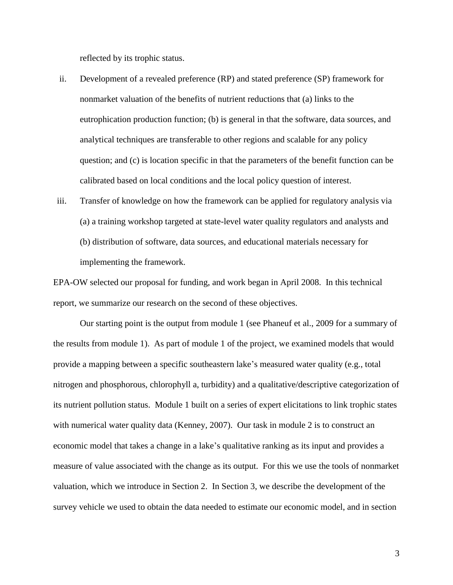reflected by its trophic status.

- ii. Development of a revealed preference (RP) and stated preference (SP) framework for nonmarket valuation of the benefits of nutrient reductions that (a) links to the eutrophication production function; (b) is general in that the software, data sources, and analytical techniques are transferable to other regions and scalable for any policy question; and (c) is location specific in that the parameters of the benefit function can be calibrated based on local conditions and the local policy question of interest.
- iii. Transfer of knowledge on how the framework can be applied for regulatory analysis via (a) a training workshop targeted at state-level water quality regulators and analysts and (b) distribution of software, data sources, and educational materials necessary for implementing the framework.

EPA-OW selected our proposal for funding, and work began in April 2008. In this technical report, we summarize our research on the second of these objectives.

Our starting point is the output from module 1 (see Phaneuf et al., 2009 for a summary of the results from module 1). As part of module 1 of the project, we examined models that would provide a mapping between a specific southeastern lake's measured water quality (e.g., total nitrogen and phosphorous, chlorophyll a, turbidity) and a qualitative/descriptive categorization of its nutrient pollution status. Module 1 built on a series of expert elicitations to link trophic states with numerical water quality data (Kenney, 2007). Our task in module 2 is to construct an economic model that takes a change in a lake's qualitative ranking as its input and provides a measure of value associated with the change as its output. For this we use the tools of nonmarket valuation, which we introduce in Section 2. In Section 3, we describe the development of the survey vehicle we used to obtain the data needed to estimate our economic model, and in section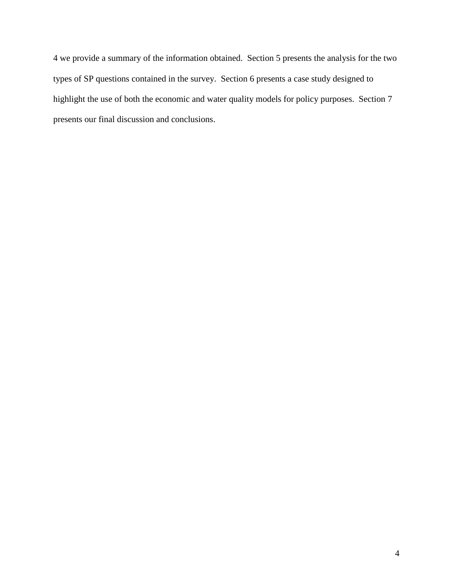4 we provide a summary of the information obtained. Section 5 presents the analysis for the two types of SP questions contained in the survey. Section 6 presents a case study designed to highlight the use of both the economic and water quality models for policy purposes. Section 7 presents our final discussion and conclusions.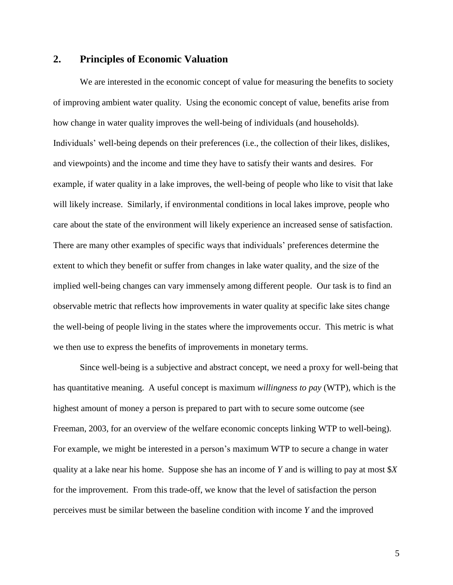## **2. Principles of Economic Valuation**

We are interested in the economic concept of value for measuring the benefits to society of improving ambient water quality. Using the economic concept of value, benefits arise from how change in water quality improves the well-being of individuals (and households). Individuals' well-being depends on their preferences (i.e., the collection of their likes, dislikes, and viewpoints) and the income and time they have to satisfy their wants and desires. For example, if water quality in a lake improves, the well-being of people who like to visit that lake will likely increase. Similarly, if environmental conditions in local lakes improve, people who care about the state of the environment will likely experience an increased sense of satisfaction. There are many other examples of specific ways that individuals' preferences determine the extent to which they benefit or suffer from changes in lake water quality, and the size of the implied well-being changes can vary immensely among different people. Our task is to find an observable metric that reflects how improvements in water quality at specific lake sites change the well-being of people living in the states where the improvements occur. This metric is what we then use to express the benefits of improvements in monetary terms.

Since well-being is a subjective and abstract concept, we need a proxy for well-being that has quantitative meaning. A useful concept is maximum *willingness to pay* (WTP), which is the highest amount of money a person is prepared to part with to secure some outcome (see Freeman, 2003, for an overview of the welfare economic concepts linking WTP to well-being). For example, we might be interested in a person's maximum WTP to secure a change in water quality at a lake near his home. Suppose she has an income of *Y* and is willing to pay at most \$*X* for the improvement. From this trade-off, we know that the level of satisfaction the person perceives must be similar between the baseline condition with income *Y* and the improved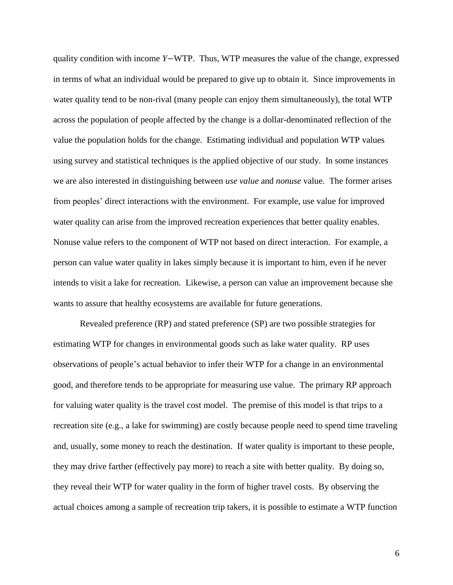quality condition with income *Y*−WTP. Thus, WTP measures the value of the change, expressed in terms of what an individual would be prepared to give up to obtain it. Since improvements in water quality tend to be non-rival (many people can enjoy them simultaneously), the total WTP across the population of people affected by the change is a dollar-denominated reflection of the value the population holds for the change. Estimating individual and population WTP values using survey and statistical techniques is the applied objective of our study. In some instances we are also interested in distinguishing between *use value* and *nonuse* value. The former arises from peoples' direct interactions with the environment. For example, use value for improved water quality can arise from the improved recreation experiences that better quality enables. Nonuse value refers to the component of WTP not based on direct interaction. For example, a person can value water quality in lakes simply because it is important to him, even if he never intends to visit a lake for recreation. Likewise, a person can value an improvement because she wants to assure that healthy ecosystems are available for future generations.

Revealed preference (RP) and stated preference (SP) are two possible strategies for estimating WTP for changes in environmental goods such as lake water quality. RP uses observations of people's actual behavior to infer their WTP for a change in an environmental good, and therefore tends to be appropriate for measuring use value. The primary RP approach for valuing water quality is the travel cost model. The premise of this model is that trips to a recreation site (e.g., a lake for swimming) are costly because people need to spend time traveling and, usually, some money to reach the destination. If water quality is important to these people, they may drive farther (effectively pay more) to reach a site with better quality. By doing so, they reveal their WTP for water quality in the form of higher travel costs. By observing the actual choices among a sample of recreation trip takers, it is possible to estimate a WTP function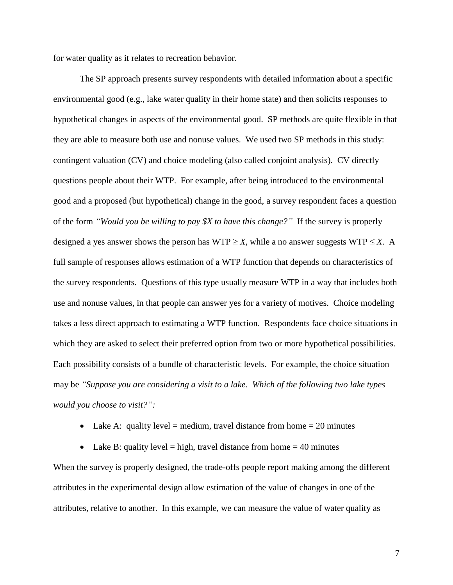for water quality as it relates to recreation behavior.

The SP approach presents survey respondents with detailed information about a specific environmental good (e.g., lake water quality in their home state) and then solicits responses to hypothetical changes in aspects of the environmental good. SP methods are quite flexible in that they are able to measure both use and nonuse values. We used two SP methods in this study: contingent valuation (CV) and choice modeling (also called conjoint analysis). CV directly questions people about their WTP. For example, after being introduced to the environmental good and a proposed (but hypothetical) change in the good, a survey respondent faces a question of the form *"Would you be willing to pay \$X to have this change?"* If the survey is properly designed a yes answer shows the person has WTP  $\geq$  *X*, while a no answer suggests WTP  $\leq$  *X*. A full sample of responses allows estimation of a WTP function that depends on characteristics of the survey respondents. Questions of this type usually measure WTP in a way that includes both use and nonuse values, in that people can answer yes for a variety of motives. Choice modeling takes a less direct approach to estimating a WTP function. Respondents face choice situations in which they are asked to select their preferred option from two or more hypothetical possibilities. Each possibility consists of a bundle of characteristic levels. For example, the choice situation may be *"Suppose you are considering a visit to a lake. Which of the following two lake types would you choose to visit?":*

• Lake A: quality level = medium, travel distance from home =  $20$  minutes

• Lake B: quality level = high, travel distance from home =  $40$  minutes When the survey is properly designed, the trade-offs people report making among the different attributes in the experimental design allow estimation of the value of changes in one of the attributes, relative to another. In this example, we can measure the value of water quality as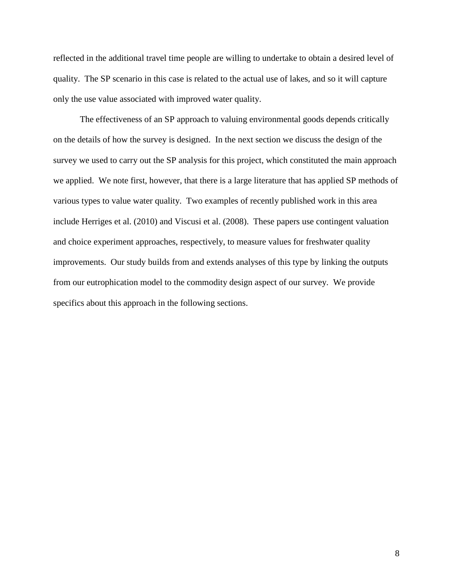reflected in the additional travel time people are willing to undertake to obtain a desired level of quality. The SP scenario in this case is related to the actual use of lakes, and so it will capture only the use value associated with improved water quality.

The effectiveness of an SP approach to valuing environmental goods depends critically on the details of how the survey is designed. In the next section we discuss the design of the survey we used to carry out the SP analysis for this project, which constituted the main approach we applied. We note first, however, that there is a large literature that has applied SP methods of various types to value water quality. Two examples of recently published work in this area include Herriges et al. (2010) and Viscusi et al. (2008). These papers use contingent valuation and choice experiment approaches, respectively, to measure values for freshwater quality improvements. Our study builds from and extends analyses of this type by linking the outputs from our eutrophication model to the commodity design aspect of our survey. We provide specifics about this approach in the following sections.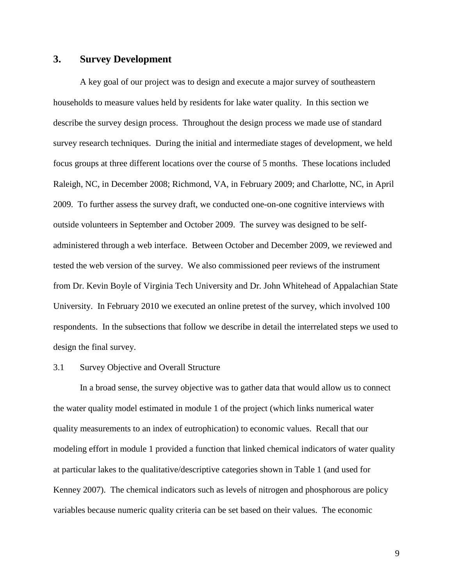## **3. Survey Development**

A key goal of our project was to design and execute a major survey of southeastern households to measure values held by residents for lake water quality. In this section we describe the survey design process. Throughout the design process we made use of standard survey research techniques. During the initial and intermediate stages of development, we held focus groups at three different locations over the course of 5 months. These locations included Raleigh, NC, in December 2008; Richmond, VA, in February 2009; and Charlotte, NC, in April 2009. To further assess the survey draft, we conducted one-on-one cognitive interviews with outside volunteers in September and October 2009. The survey was designed to be selfadministered through a web interface. Between October and December 2009, we reviewed and tested the web version of the survey. We also commissioned peer reviews of the instrument from Dr. Kevin Boyle of Virginia Tech University and Dr. John Whitehead of Appalachian State University. In February 2010 we executed an online pretest of the survey, which involved 100 respondents. In the subsections that follow we describe in detail the interrelated steps we used to design the final survey.

#### 3.1 Survey Objective and Overall Structure

In a broad sense, the survey objective was to gather data that would allow us to connect the water quality model estimated in module 1 of the project (which links numerical water quality measurements to an index of eutrophication) to economic values. Recall that our modeling effort in module 1 provided a function that linked chemical indicators of water quality at particular lakes to the qualitative/descriptive categories shown in Table 1 (and used for Kenney 2007). The chemical indicators such as levels of nitrogen and phosphorous are policy variables because numeric quality criteria can be set based on their values. The economic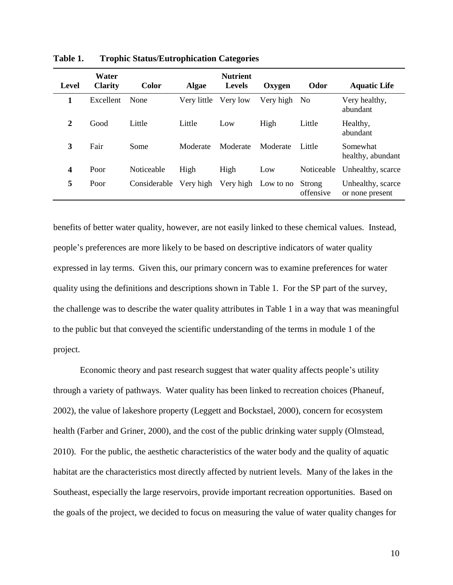| Level          | Water<br><b>Clarity</b> | <b>Color</b> | <b>Algae</b> | <b>Nutrient</b><br><b>Levels</b> | Oxygen    | Odor                | <b>Aquatic Life</b>                  |
|----------------|-------------------------|--------------|--------------|----------------------------------|-----------|---------------------|--------------------------------------|
| 1              | Excellent               | None         | Very little  | Very low                         | Very high | N <sub>0</sub>      | Very healthy,<br>abundant            |
| $\overline{2}$ | Good                    | Little       | Little       | Low                              | High      | Little              | Healthy,<br>abundant                 |
| 3              | Fair                    | Some         | Moderate     | Moderate                         | Moderate  | Little              | Somewhat<br>healthy, abundant        |
| 4              | Poor                    | Noticeable   | High         | High                             | Low       | Noticeable          | Unhealthy, scarce                    |
| 5              | Poor                    | Considerable | Very high    | Very high                        | Low to no | Strong<br>offensive | Unhealthy, scarce<br>or none present |

**Table 1. Trophic Status/Eutrophication Categories**

benefits of better water quality, however, are not easily linked to these chemical values. Instead, people's preferences are more likely to be based on descriptive indicators of water quality expressed in lay terms. Given this, our primary concern was to examine preferences for water quality using the definitions and descriptions shown in Table 1. For the SP part of the survey, the challenge was to describe the water quality attributes in Table 1 in a way that was meaningful to the public but that conveyed the scientific understanding of the terms in module 1 of the project.

Economic theory and past research suggest that water quality affects people's utility through a variety of pathways. Water quality has been linked to recreation choices (Phaneuf, 2002), the value of lakeshore property (Leggett and Bockstael, 2000), concern for ecosystem health (Farber and Griner, 2000), and the cost of the public drinking water supply (Olmstead, 2010). For the public, the aesthetic characteristics of the water body and the quality of aquatic habitat are the characteristics most directly affected by nutrient levels. Many of the lakes in the Southeast, especially the large reservoirs, provide important recreation opportunities. Based on the goals of the project, we decided to focus on measuring the value of water quality changes for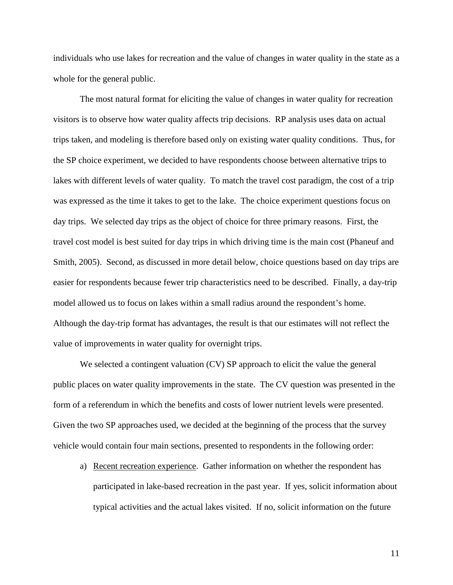individuals who use lakes for recreation and the value of changes in water quality in the state as a whole for the general public.

The most natural format for eliciting the value of changes in water quality for recreation visitors is to observe how water quality affects trip decisions. RP analysis uses data on actual trips taken, and modeling is therefore based only on existing water quality conditions. Thus, for the SP choice experiment, we decided to have respondents choose between alternative trips to lakes with different levels of water quality. To match the travel cost paradigm, the cost of a trip was expressed as the time it takes to get to the lake. The choice experiment questions focus on day trips. We selected day trips as the object of choice for three primary reasons. First, the travel cost model is best suited for day trips in which driving time is the main cost (Phaneuf and Smith, 2005). Second, as discussed in more detail below, choice questions based on day trips are easier for respondents because fewer trip characteristics need to be described. Finally, a day-trip model allowed us to focus on lakes within a small radius around the respondent's home. Although the day-trip format has advantages, the result is that our estimates will not reflect the value of improvements in water quality for overnight trips.

We selected a contingent valuation (CV) SP approach to elicit the value the general public places on water quality improvements in the state. The CV question was presented in the form of a referendum in which the benefits and costs of lower nutrient levels were presented. Given the two SP approaches used, we decided at the beginning of the process that the survey vehicle would contain four main sections, presented to respondents in the following order:

a) Recent recreation experience. Gather information on whether the respondent has participated in lake-based recreation in the past year. If yes, solicit information about typical activities and the actual lakes visited. If no, solicit information on the future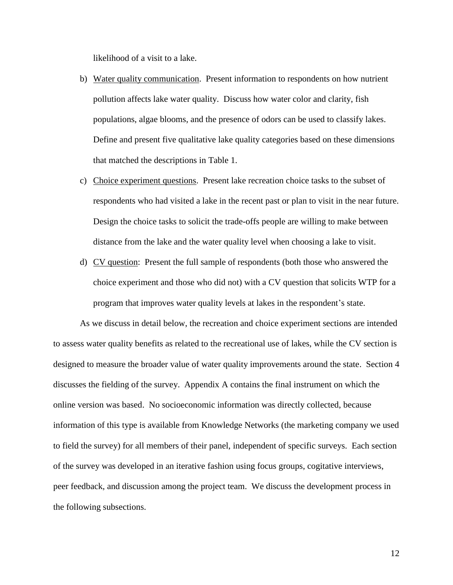likelihood of a visit to a lake.

- b) Water quality communication. Present information to respondents on how nutrient pollution affects lake water quality. Discuss how water color and clarity, fish populations, algae blooms, and the presence of odors can be used to classify lakes. Define and present five qualitative lake quality categories based on these dimensions that matched the descriptions in Table 1.
- c) Choice experiment questions. Present lake recreation choice tasks to the subset of respondents who had visited a lake in the recent past or plan to visit in the near future. Design the choice tasks to solicit the trade-offs people are willing to make between distance from the lake and the water quality level when choosing a lake to visit.
- d) CV question: Present the full sample of respondents (both those who answered the choice experiment and those who did not) with a CV question that solicits WTP for a program that improves water quality levels at lakes in the respondent's state.

As we discuss in detail below, the recreation and choice experiment sections are intended to assess water quality benefits as related to the recreational use of lakes, while the CV section is designed to measure the broader value of water quality improvements around the state. Section 4 discusses the fielding of the survey. Appendix A contains the final instrument on which the online version was based. No socioeconomic information was directly collected, because information of this type is available from Knowledge Networks (the marketing company we used to field the survey) for all members of their panel, independent of specific surveys. Each section of the survey was developed in an iterative fashion using focus groups, cogitative interviews, peer feedback, and discussion among the project team. We discuss the development process in the following subsections.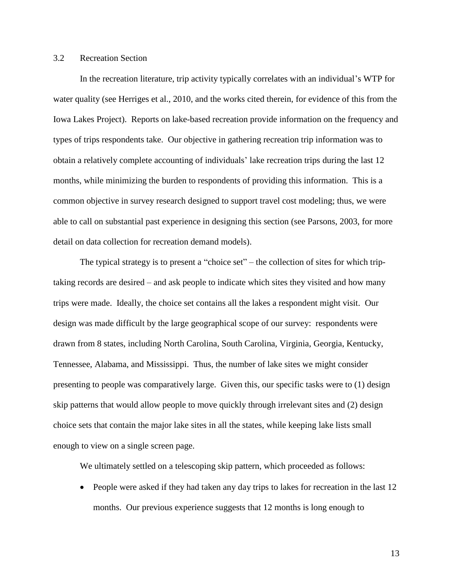#### 3.2 Recreation Section

In the recreation literature, trip activity typically correlates with an individual's WTP for water quality (see Herriges et al., 2010, and the works cited therein, for evidence of this from the Iowa Lakes Project). Reports on lake-based recreation provide information on the frequency and types of trips respondents take. Our objective in gathering recreation trip information was to obtain a relatively complete accounting of individuals' lake recreation trips during the last 12 months, while minimizing the burden to respondents of providing this information. This is a common objective in survey research designed to support travel cost modeling; thus, we were able to call on substantial past experience in designing this section (see Parsons, 2003, for more detail on data collection for recreation demand models).

The typical strategy is to present a "choice set" – the collection of sites for which triptaking records are desired – and ask people to indicate which sites they visited and how many trips were made. Ideally, the choice set contains all the lakes a respondent might visit. Our design was made difficult by the large geographical scope of our survey: respondents were drawn from 8 states, including North Carolina, South Carolina, Virginia, Georgia, Kentucky, Tennessee, Alabama, and Mississippi. Thus, the number of lake sites we might consider presenting to people was comparatively large. Given this, our specific tasks were to (1) design skip patterns that would allow people to move quickly through irrelevant sites and (2) design choice sets that contain the major lake sites in all the states, while keeping lake lists small enough to view on a single screen page.

We ultimately settled on a telescoping skip pattern, which proceeded as follows:

• People were asked if they had taken any day trips to lakes for recreation in the last 12 months. Our previous experience suggests that 12 months is long enough to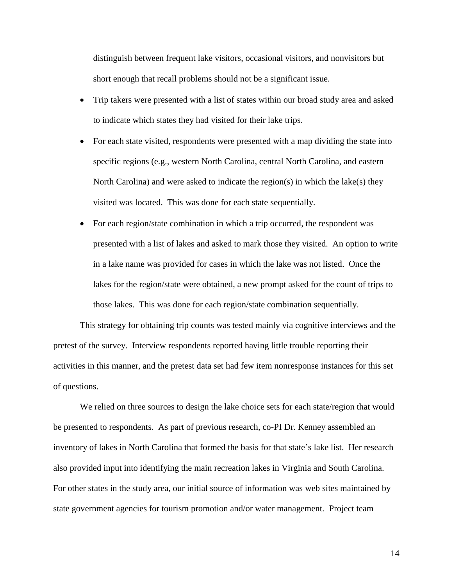distinguish between frequent lake visitors, occasional visitors, and nonvisitors but short enough that recall problems should not be a significant issue.

- Trip takers were presented with a list of states within our broad study area and asked to indicate which states they had visited for their lake trips.
- For each state visited, respondents were presented with a map dividing the state into specific regions (e.g., western North Carolina, central North Carolina, and eastern North Carolina) and were asked to indicate the region(s) in which the lake(s) they visited was located. This was done for each state sequentially.
- For each region/state combination in which a trip occurred, the respondent was presented with a list of lakes and asked to mark those they visited. An option to write in a lake name was provided for cases in which the lake was not listed. Once the lakes for the region/state were obtained, a new prompt asked for the count of trips to those lakes. This was done for each region/state combination sequentially.

This strategy for obtaining trip counts was tested mainly via cognitive interviews and the pretest of the survey. Interview respondents reported having little trouble reporting their activities in this manner, and the pretest data set had few item nonresponse instances for this set of questions.

We relied on three sources to design the lake choice sets for each state/region that would be presented to respondents. As part of previous research, co-PI Dr. Kenney assembled an inventory of lakes in North Carolina that formed the basis for that state's lake list. Her research also provided input into identifying the main recreation lakes in Virginia and South Carolina. For other states in the study area, our initial source of information was web sites maintained by state government agencies for tourism promotion and/or water management. Project team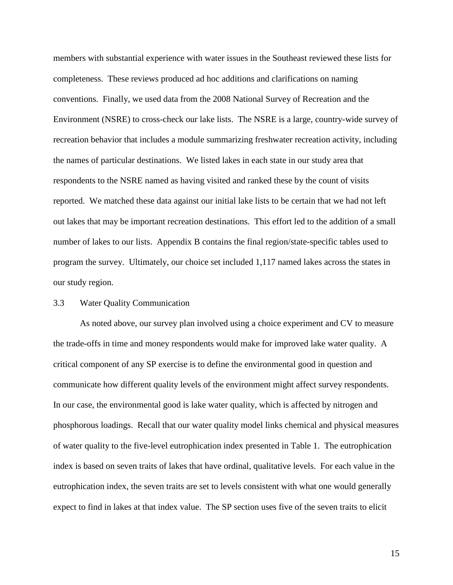members with substantial experience with water issues in the Southeast reviewed these lists for completeness. These reviews produced ad hoc additions and clarifications on naming conventions. Finally, we used data from the 2008 National Survey of Recreation and the Environment (NSRE) to cross-check our lake lists. The NSRE is a large, country-wide survey of recreation behavior that includes a module summarizing freshwater recreation activity, including the names of particular destinations. We listed lakes in each state in our study area that respondents to the NSRE named as having visited and ranked these by the count of visits reported. We matched these data against our initial lake lists to be certain that we had not left out lakes that may be important recreation destinations. This effort led to the addition of a small number of lakes to our lists. Appendix B contains the final region/state-specific tables used to program the survey. Ultimately, our choice set included 1,117 named lakes across the states in our study region.

#### 3.3 Water Quality Communication

As noted above, our survey plan involved using a choice experiment and CV to measure the trade-offs in time and money respondents would make for improved lake water quality. A critical component of any SP exercise is to define the environmental good in question and communicate how different quality levels of the environment might affect survey respondents. In our case, the environmental good is lake water quality, which is affected by nitrogen and phosphorous loadings. Recall that our water quality model links chemical and physical measures of water quality to the five-level eutrophication index presented in Table 1. The eutrophication index is based on seven traits of lakes that have ordinal, qualitative levels. For each value in the eutrophication index, the seven traits are set to levels consistent with what one would generally expect to find in lakes at that index value. The SP section uses five of the seven traits to elicit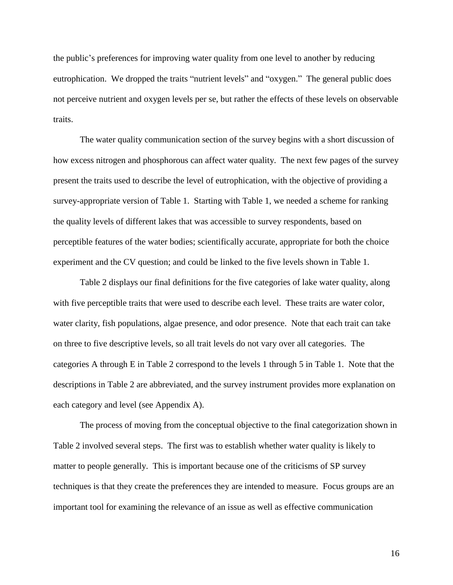the public's preferences for improving water quality from one level to another by reducing eutrophication. We dropped the traits "nutrient levels" and "oxygen." The general public does not perceive nutrient and oxygen levels per se, but rather the effects of these levels on observable traits.

The water quality communication section of the survey begins with a short discussion of how excess nitrogen and phosphorous can affect water quality. The next few pages of the survey present the traits used to describe the level of eutrophication, with the objective of providing a survey-appropriate version of Table 1. Starting with Table 1, we needed a scheme for ranking the quality levels of different lakes that was accessible to survey respondents, based on perceptible features of the water bodies; scientifically accurate, appropriate for both the choice experiment and the CV question; and could be linked to the five levels shown in Table 1.

Table 2 displays our final definitions for the five categories of lake water quality, along with five perceptible traits that were used to describe each level. These traits are water color, water clarity, fish populations, algae presence, and odor presence. Note that each trait can take on three to five descriptive levels, so all trait levels do not vary over all categories. The categories A through E in Table 2 correspond to the levels 1 through 5 in Table 1. Note that the descriptions in Table 2 are abbreviated, and the survey instrument provides more explanation on each category and level (see Appendix A).

The process of moving from the conceptual objective to the final categorization shown in Table 2 involved several steps. The first was to establish whether water quality is likely to matter to people generally. This is important because one of the criticisms of SP survey techniques is that they create the preferences they are intended to measure. Focus groups are an important tool for examining the relevance of an issue as well as effective communication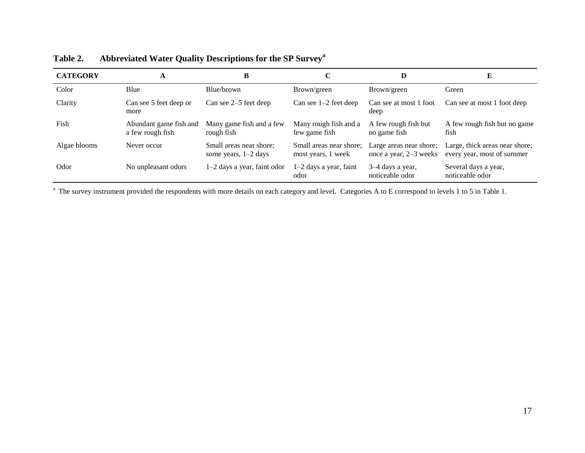| <b>CATEGORY</b> | A                                          | B                                                 | C                                             | D                                                 | E                                                            |
|-----------------|--------------------------------------------|---------------------------------------------------|-----------------------------------------------|---------------------------------------------------|--------------------------------------------------------------|
| Color           | Blue                                       | Blue/brown                                        | Brown/green                                   | Brown/green                                       | Green                                                        |
| Clarity         | Can see 5 feet deep or<br>more             | Can see 2–5 feet deep                             | Can see $1-2$ feet deep                       | Can see at most 1 foot<br>deep                    | Can see at most 1 foot deep                                  |
| Fish            | Abundant game fish and<br>a few rough fish | Many game fish and a few<br>rough fish            | Many rough fish and a<br>few game fish        | A few rough fish but<br>no game fish              | A few rough fish but no game<br>fish                         |
| Algae blooms    | Never occur                                | Small areas near shore;<br>some years, $1-2$ days | Small areas near shore;<br>most years, 1 week | Large areas near shore;<br>once a year, 2–3 weeks | Large, thick areas near shore;<br>every year, most of summer |
| Odor            | No unpleasant odors                        | $1-2$ days a year, faint odor                     | $1-2$ days a year, faint<br>odor              | 3–4 days a year,<br>noticeable odor               | Several days a year,<br>noticeable odor                      |

**Table 2. Abbreviated Water Quality Descriptions for the SP Survey<sup>a</sup>**

<sup>a</sup> The survey instrument provided the respondents with more details on each category and level. Categories A to E correspond to levels 1 to 5 in Table 1.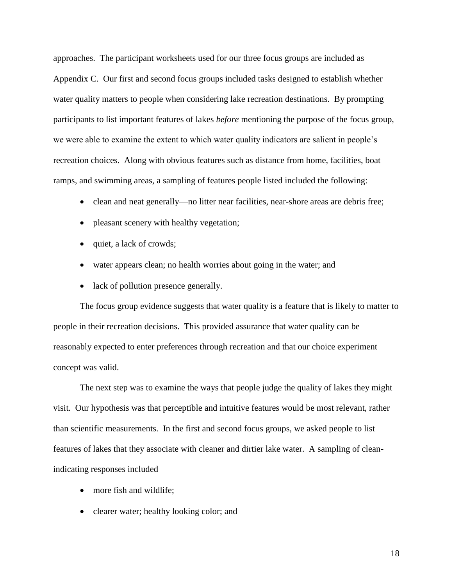approaches. The participant worksheets used for our three focus groups are included as Appendix C. Our first and second focus groups included tasks designed to establish whether water quality matters to people when considering lake recreation destinations. By prompting participants to list important features of lakes *before* mentioning the purpose of the focus group, we were able to examine the extent to which water quality indicators are salient in people's recreation choices. Along with obvious features such as distance from home, facilities, boat ramps, and swimming areas, a sampling of features people listed included the following:

- clean and neat generally—no litter near facilities, near-shore areas are debris free;
- pleasant scenery with healthy vegetation;
- quiet, a lack of crowds;
- water appears clean; no health worries about going in the water; and
- lack of pollution presence generally.

The focus group evidence suggests that water quality is a feature that is likely to matter to people in their recreation decisions. This provided assurance that water quality can be reasonably expected to enter preferences through recreation and that our choice experiment concept was valid.

The next step was to examine the ways that people judge the quality of lakes they might visit. Our hypothesis was that perceptible and intuitive features would be most relevant, rather than scientific measurements. In the first and second focus groups, we asked people to list features of lakes that they associate with cleaner and dirtier lake water. A sampling of cleanindicating responses included

- more fish and wildlife;
- clearer water; healthy looking color; and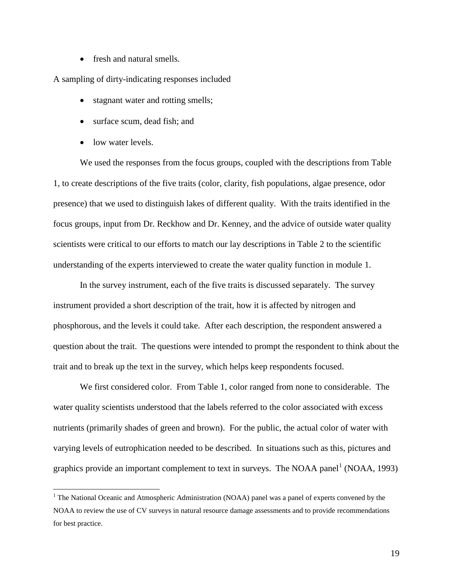• fresh and natural smells.

A sampling of dirty-indicating responses included

- stagnant water and rotting smells;
- surface scum, dead fish; and
- low water levels.

 $\overline{a}$ 

We used the responses from the focus groups, coupled with the descriptions from Table 1, to create descriptions of the five traits (color, clarity, fish populations, algae presence, odor presence) that we used to distinguish lakes of different quality. With the traits identified in the focus groups, input from Dr. Reckhow and Dr. Kenney, and the advice of outside water quality scientists were critical to our efforts to match our lay descriptions in Table 2 to the scientific understanding of the experts interviewed to create the water quality function in module 1.

In the survey instrument, each of the five traits is discussed separately. The survey instrument provided a short description of the trait, how it is affected by nitrogen and phosphorous, and the levels it could take. After each description, the respondent answered a question about the trait. The questions were intended to prompt the respondent to think about the trait and to break up the text in the survey, which helps keep respondents focused.

We first considered color. From Table 1, color ranged from none to considerable. The water quality scientists understood that the labels referred to the color associated with excess nutrients (primarily shades of green and brown). For the public, the actual color of water with varying levels of eutrophication needed to be described. In situations such as this, pictures and graphics provide an important complement to text in surveys. The NOAA panel<sup>1</sup> (NOAA, 1993)

<sup>&</sup>lt;sup>1</sup> The National Oceanic and Atmospheric Administration (NOAA) panel was a panel of experts convened by the NOAA to review the use of CV surveys in natural resource damage assessments and to provide recommendations for best practice.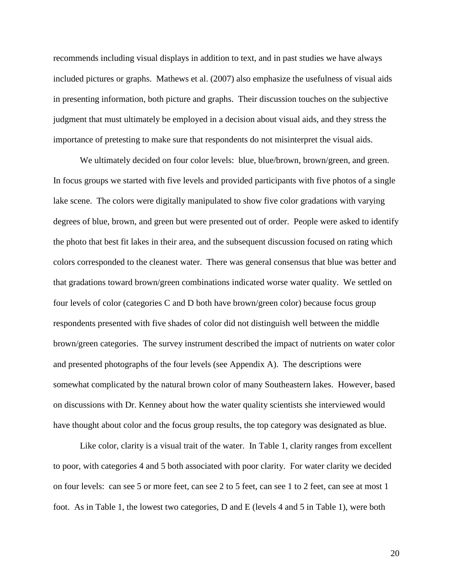recommends including visual displays in addition to text, and in past studies we have always included pictures or graphs. Mathews et al. (2007) also emphasize the usefulness of visual aids in presenting information, both picture and graphs. Their discussion touches on the subjective judgment that must ultimately be employed in a decision about visual aids, and they stress the importance of pretesting to make sure that respondents do not misinterpret the visual aids.

We ultimately decided on four color levels: blue, blue/brown, brown/green, and green. In focus groups we started with five levels and provided participants with five photos of a single lake scene. The colors were digitally manipulated to show five color gradations with varying degrees of blue, brown, and green but were presented out of order. People were asked to identify the photo that best fit lakes in their area, and the subsequent discussion focused on rating which colors corresponded to the cleanest water. There was general consensus that blue was better and that gradations toward brown/green combinations indicated worse water quality. We settled on four levels of color (categories C and D both have brown/green color) because focus group respondents presented with five shades of color did not distinguish well between the middle brown/green categories. The survey instrument described the impact of nutrients on water color and presented photographs of the four levels (see Appendix A). The descriptions were somewhat complicated by the natural brown color of many Southeastern lakes. However, based on discussions with Dr. Kenney about how the water quality scientists she interviewed would have thought about color and the focus group results, the top category was designated as blue.

Like color, clarity is a visual trait of the water. In Table 1, clarity ranges from excellent to poor, with categories 4 and 5 both associated with poor clarity. For water clarity we decided on four levels: can see 5 or more feet, can see 2 to 5 feet, can see 1 to 2 feet, can see at most 1 foot. As in Table 1, the lowest two categories, D and E (levels 4 and 5 in Table 1), were both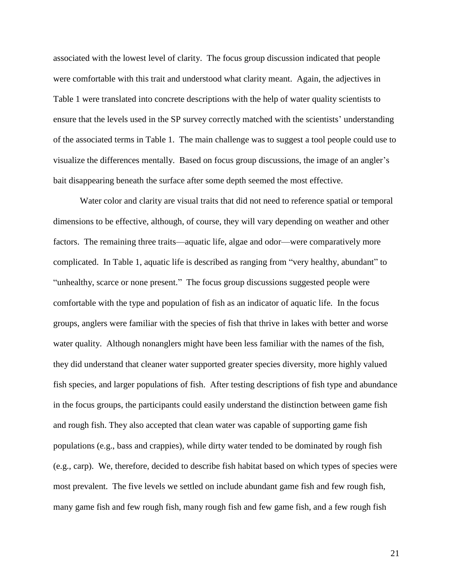associated with the lowest level of clarity. The focus group discussion indicated that people were comfortable with this trait and understood what clarity meant. Again, the adjectives in Table 1 were translated into concrete descriptions with the help of water quality scientists to ensure that the levels used in the SP survey correctly matched with the scientists' understanding of the associated terms in Table 1. The main challenge was to suggest a tool people could use to visualize the differences mentally. Based on focus group discussions, the image of an angler's bait disappearing beneath the surface after some depth seemed the most effective.

Water color and clarity are visual traits that did not need to reference spatial or temporal dimensions to be effective, although, of course, they will vary depending on weather and other factors. The remaining three traits—aquatic life, algae and odor—were comparatively more complicated. In Table 1, aquatic life is described as ranging from "very healthy, abundant" to "unhealthy, scarce or none present." The focus group discussions suggested people were comfortable with the type and population of fish as an indicator of aquatic life. In the focus groups, anglers were familiar with the species of fish that thrive in lakes with better and worse water quality. Although nonanglers might have been less familiar with the names of the fish, they did understand that cleaner water supported greater species diversity, more highly valued fish species, and larger populations of fish. After testing descriptions of fish type and abundance in the focus groups, the participants could easily understand the distinction between game fish and rough fish. They also accepted that clean water was capable of supporting game fish populations (e.g., bass and crappies), while dirty water tended to be dominated by rough fish (e.g., carp). We, therefore, decided to describe fish habitat based on which types of species were most prevalent. The five levels we settled on include abundant game fish and few rough fish, many game fish and few rough fish, many rough fish and few game fish, and a few rough fish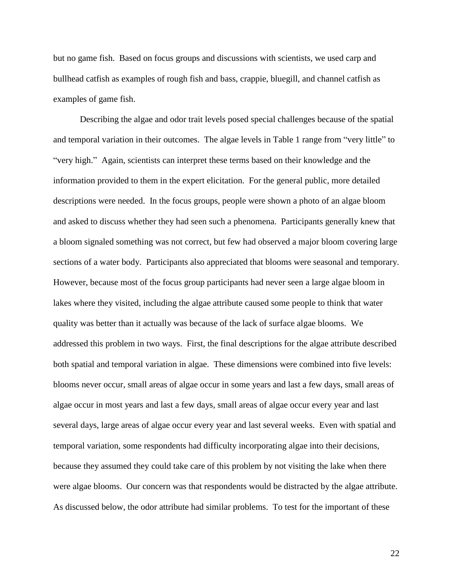but no game fish. Based on focus groups and discussions with scientists, we used carp and bullhead catfish as examples of rough fish and bass, crappie, bluegill, and channel catfish as examples of game fish.

Describing the algae and odor trait levels posed special challenges because of the spatial and temporal variation in their outcomes. The algae levels in Table 1 range from "very little" to "very high." Again, scientists can interpret these terms based on their knowledge and the information provided to them in the expert elicitation. For the general public, more detailed descriptions were needed. In the focus groups, people were shown a photo of an algae bloom and asked to discuss whether they had seen such a phenomena. Participants generally knew that a bloom signaled something was not correct, but few had observed a major bloom covering large sections of a water body. Participants also appreciated that blooms were seasonal and temporary. However, because most of the focus group participants had never seen a large algae bloom in lakes where they visited, including the algae attribute caused some people to think that water quality was better than it actually was because of the lack of surface algae blooms. We addressed this problem in two ways. First, the final descriptions for the algae attribute described both spatial and temporal variation in algae. These dimensions were combined into five levels: blooms never occur, small areas of algae occur in some years and last a few days, small areas of algae occur in most years and last a few days, small areas of algae occur every year and last several days, large areas of algae occur every year and last several weeks. Even with spatial and temporal variation, some respondents had difficulty incorporating algae into their decisions, because they assumed they could take care of this problem by not visiting the lake when there were algae blooms. Our concern was that respondents would be distracted by the algae attribute. As discussed below, the odor attribute had similar problems. To test for the important of these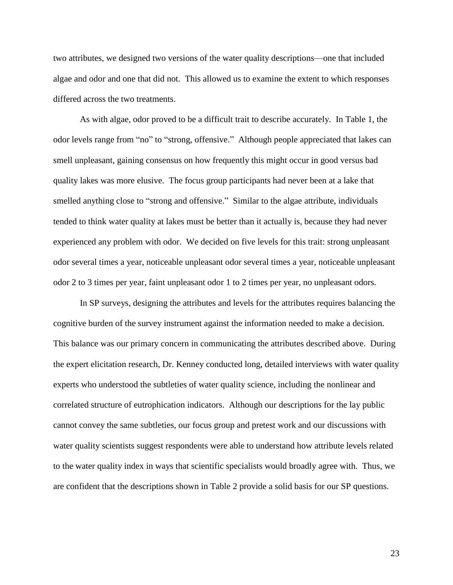two attributes, we designed two versions of the water quality descriptions—one that included algae and odor and one that did not. This allowed us to examine the extent to which responses differed across the two treatments.

As with algae, odor proved to be a difficult trait to describe accurately. In Table 1, the odor levels range from "no" to "strong, offensive." Although people appreciated that lakes can smell unpleasant, gaining consensus on how frequently this might occur in good versus bad quality lakes was more elusive. The focus group participants had never been at a lake that smelled anything close to "strong and offensive." Similar to the algae attribute, individuals tended to think water quality at lakes must be better than it actually is, because they had never experienced any problem with odor. We decided on five levels for this trait: strong unpleasant odor several times a year, noticeable unpleasant odor several times a year, noticeable unpleasant odor 2 to 3 times per year, faint unpleasant odor 1 to 2 times per year, no unpleasant odors.

In SP surveys, designing the attributes and levels for the attributes requires balancing the cognitive burden of the survey instrument against the information needed to make a decision. This balance was our primary concern in communicating the attributes described above. During the expert elicitation research, Dr. Kenney conducted long, detailed interviews with water quality experts who understood the subtleties of water quality science, including the nonlinear and correlated structure of eutrophication indicators. Although our descriptions for the lay public cannot convey the same subtleties, our focus group and pretest work and our discussions with water quality scientists suggest respondents were able to understand how attribute levels related to the water quality index in ways that scientific specialists would broadly agree with. Thus, we are confident that the descriptions shown in Table 2 provide a solid basis for our SP questions.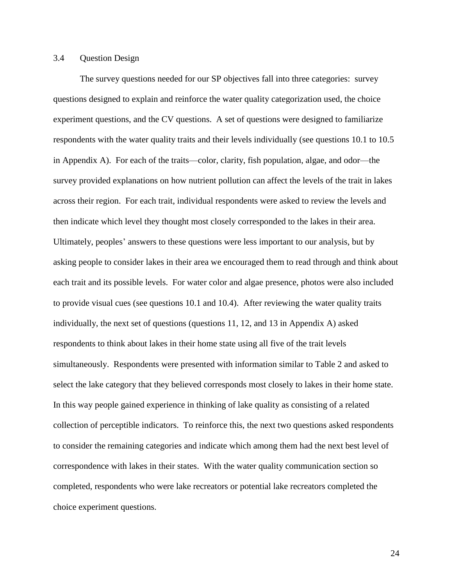#### 3.4 Question Design

The survey questions needed for our SP objectives fall into three categories: survey questions designed to explain and reinforce the water quality categorization used, the choice experiment questions, and the CV questions. A set of questions were designed to familiarize respondents with the water quality traits and their levels individually (see questions 10.1 to 10.5 in Appendix A). For each of the traits—color, clarity, fish population, algae, and odor—the survey provided explanations on how nutrient pollution can affect the levels of the trait in lakes across their region. For each trait, individual respondents were asked to review the levels and then indicate which level they thought most closely corresponded to the lakes in their area. Ultimately, peoples' answers to these questions were less important to our analysis, but by asking people to consider lakes in their area we encouraged them to read through and think about each trait and its possible levels. For water color and algae presence, photos were also included to provide visual cues (see questions 10.1 and 10.4). After reviewing the water quality traits individually, the next set of questions (questions 11, 12, and 13 in Appendix A) asked respondents to think about lakes in their home state using all five of the trait levels simultaneously. Respondents were presented with information similar to Table 2 and asked to select the lake category that they believed corresponds most closely to lakes in their home state. In this way people gained experience in thinking of lake quality as consisting of a related collection of perceptible indicators. To reinforce this, the next two questions asked respondents to consider the remaining categories and indicate which among them had the next best level of correspondence with lakes in their states. With the water quality communication section so completed, respondents who were lake recreators or potential lake recreators completed the choice experiment questions.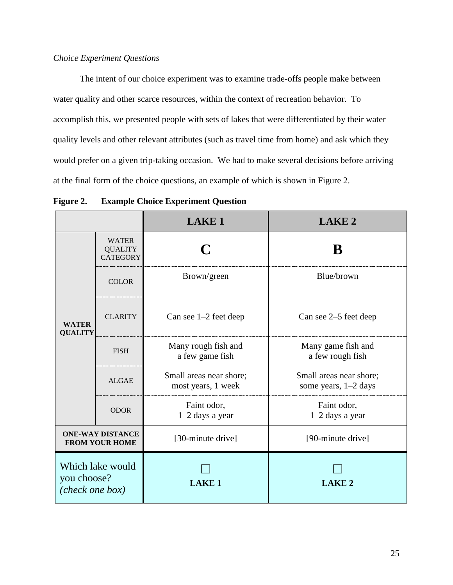### *Choice Experiment Questions*

The intent of our choice experiment was to examine trade-offs people make between water quality and other scarce resources, within the context of recreation behavior. To accomplish this, we presented people with sets of lakes that were differentiated by their water quality levels and other relevant attributes (such as travel time from home) and ask which they would prefer on a given trip-taking occasion. We had to make several decisions before arriving at the final form of the choice questions, an example of which is shown in Figure 2.

|                                                    |                                                   | <b>LAKE 1</b>                                 | <b>LAKE 2</b>                                     |  |
|----------------------------------------------------|---------------------------------------------------|-----------------------------------------------|---------------------------------------------------|--|
|                                                    | <b>WATER</b><br><b>QUALITY</b><br><b>CATEGORY</b> |                                               | B                                                 |  |
|                                                    | <b>COLOR</b>                                      | Brown/green                                   | Blue/brown                                        |  |
| <b>WATER</b><br><b>QUALITY</b>                     | <b>CLARITY</b>                                    | Can see $1-2$ feet deep                       | Can see 2–5 feet deep                             |  |
|                                                    | <b>FISH</b>                                       | Many rough fish and<br>a few game fish        | Many game fish and<br>a few rough fish            |  |
|                                                    | <b>ALGAE</b>                                      | Small areas near shore;<br>most years, 1 week | Small areas near shore;<br>some years, $1-2$ days |  |
|                                                    | <b>ODOR</b>                                       | Faint odor,<br>$1-2$ days a year              | Faint odor,<br>$1-2$ days a year                  |  |
| <b>ONE-WAY DISTANCE</b><br><b>FROM YOUR HOME</b>   |                                                   | [30-minute drive]                             | [90-minute drive]                                 |  |
| Which lake would<br>you choose?<br>(check one box) |                                                   | <b>LAKE1</b>                                  | <b>LAKE 2</b>                                     |  |

**Figure 2. Example Choice Experiment Question**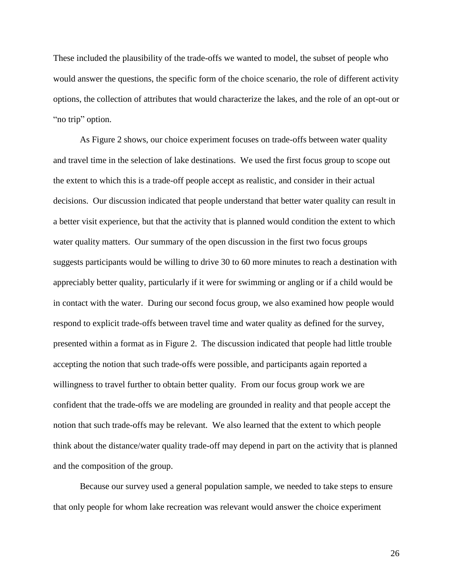These included the plausibility of the trade-offs we wanted to model, the subset of people who would answer the questions, the specific form of the choice scenario, the role of different activity options, the collection of attributes that would characterize the lakes, and the role of an opt-out or "no trip" option.

As Figure 2 shows, our choice experiment focuses on trade-offs between water quality and travel time in the selection of lake destinations. We used the first focus group to scope out the extent to which this is a trade-off people accept as realistic, and consider in their actual decisions. Our discussion indicated that people understand that better water quality can result in a better visit experience, but that the activity that is planned would condition the extent to which water quality matters. Our summary of the open discussion in the first two focus groups suggests participants would be willing to drive 30 to 60 more minutes to reach a destination with appreciably better quality, particularly if it were for swimming or angling or if a child would be in contact with the water. During our second focus group, we also examined how people would respond to explicit trade-offs between travel time and water quality as defined for the survey, presented within a format as in Figure 2. The discussion indicated that people had little trouble accepting the notion that such trade-offs were possible, and participants again reported a willingness to travel further to obtain better quality. From our focus group work we are confident that the trade-offs we are modeling are grounded in reality and that people accept the notion that such trade-offs may be relevant. We also learned that the extent to which people think about the distance/water quality trade-off may depend in part on the activity that is planned and the composition of the group.

Because our survey used a general population sample, we needed to take steps to ensure that only people for whom lake recreation was relevant would answer the choice experiment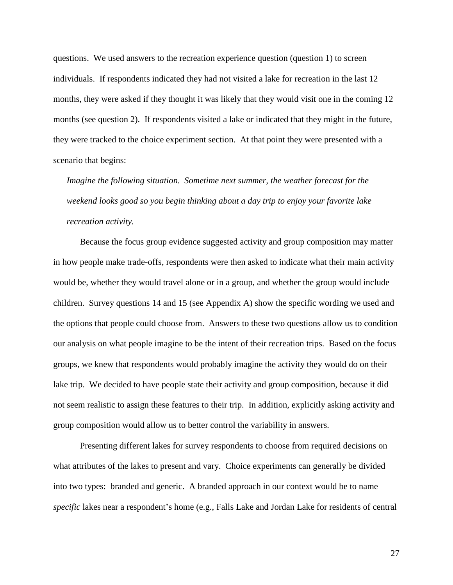questions. We used answers to the recreation experience question (question 1) to screen individuals. If respondents indicated they had not visited a lake for recreation in the last 12 months, they were asked if they thought it was likely that they would visit one in the coming 12 months (see question 2). If respondents visited a lake or indicated that they might in the future, they were tracked to the choice experiment section. At that point they were presented with a scenario that begins:

*Imagine the following situation. Sometime next summer, the weather forecast for the weekend looks good so you begin thinking about a day trip to enjoy your favorite lake recreation activity.*

Because the focus group evidence suggested activity and group composition may matter in how people make trade-offs, respondents were then asked to indicate what their main activity would be, whether they would travel alone or in a group, and whether the group would include children. Survey questions 14 and 15 (see Appendix A) show the specific wording we used and the options that people could choose from. Answers to these two questions allow us to condition our analysis on what people imagine to be the intent of their recreation trips. Based on the focus groups, we knew that respondents would probably imagine the activity they would do on their lake trip. We decided to have people state their activity and group composition, because it did not seem realistic to assign these features to their trip. In addition, explicitly asking activity and group composition would allow us to better control the variability in answers.

Presenting different lakes for survey respondents to choose from required decisions on what attributes of the lakes to present and vary. Choice experiments can generally be divided into two types: branded and generic. A branded approach in our context would be to name *specific* lakes near a respondent's home (e.g., Falls Lake and Jordan Lake for residents of central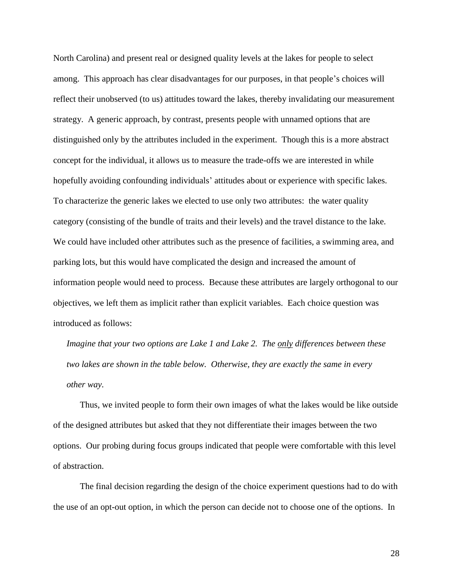North Carolina) and present real or designed quality levels at the lakes for people to select among. This approach has clear disadvantages for our purposes, in that people's choices will reflect their unobserved (to us) attitudes toward the lakes, thereby invalidating our measurement strategy. A generic approach, by contrast, presents people with unnamed options that are distinguished only by the attributes included in the experiment. Though this is a more abstract concept for the individual, it allows us to measure the trade-offs we are interested in while hopefully avoiding confounding individuals' attitudes about or experience with specific lakes. To characterize the generic lakes we elected to use only two attributes: the water quality category (consisting of the bundle of traits and their levels) and the travel distance to the lake. We could have included other attributes such as the presence of facilities, a swimming area, and parking lots, but this would have complicated the design and increased the amount of information people would need to process. Because these attributes are largely orthogonal to our objectives, we left them as implicit rather than explicit variables. Each choice question was introduced as follows:

*Imagine that your two options are Lake 1 and Lake 2. The only differences between these two lakes are shown in the table below. Otherwise, they are exactly the same in every other way.*

Thus, we invited people to form their own images of what the lakes would be like outside of the designed attributes but asked that they not differentiate their images between the two options. Our probing during focus groups indicated that people were comfortable with this level of abstraction.

The final decision regarding the design of the choice experiment questions had to do with the use of an opt-out option, in which the person can decide not to choose one of the options. In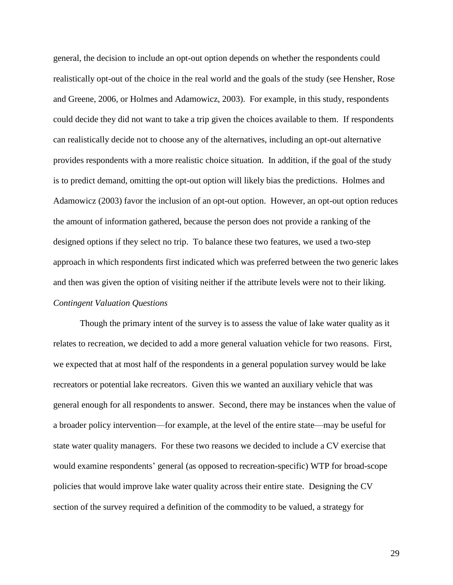general, the decision to include an opt-out option depends on whether the respondents could realistically opt-out of the choice in the real world and the goals of the study (see Hensher, Rose and Greene, 2006, or Holmes and Adamowicz, 2003). For example, in this study, respondents could decide they did not want to take a trip given the choices available to them. If respondents can realistically decide not to choose any of the alternatives, including an opt-out alternative provides respondents with a more realistic choice situation. In addition, if the goal of the study is to predict demand, omitting the opt-out option will likely bias the predictions. Holmes and Adamowicz (2003) favor the inclusion of an opt-out option. However, an opt-out option reduces the amount of information gathered, because the person does not provide a ranking of the designed options if they select no trip. To balance these two features, we used a two-step approach in which respondents first indicated which was preferred between the two generic lakes and then was given the option of visiting neither if the attribute levels were not to their liking. *Contingent Valuation Questions*

Though the primary intent of the survey is to assess the value of lake water quality as it relates to recreation, we decided to add a more general valuation vehicle for two reasons. First, we expected that at most half of the respondents in a general population survey would be lake recreators or potential lake recreators. Given this we wanted an auxiliary vehicle that was general enough for all respondents to answer. Second, there may be instances when the value of a broader policy intervention—for example, at the level of the entire state—may be useful for state water quality managers. For these two reasons we decided to include a CV exercise that would examine respondents' general (as opposed to recreation-specific) WTP for broad-scope policies that would improve lake water quality across their entire state. Designing the CV section of the survey required a definition of the commodity to be valued, a strategy for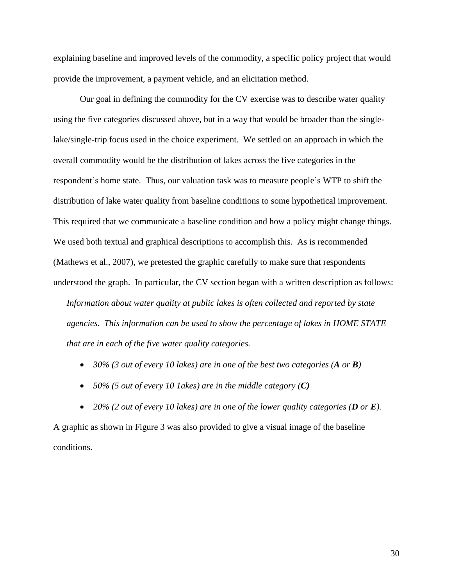explaining baseline and improved levels of the commodity, a specific policy project that would provide the improvement, a payment vehicle, and an elicitation method.

Our goal in defining the commodity for the CV exercise was to describe water quality using the five categories discussed above, but in a way that would be broader than the singlelake/single-trip focus used in the choice experiment. We settled on an approach in which the overall commodity would be the distribution of lakes across the five categories in the respondent's home state. Thus, our valuation task was to measure people's WTP to shift the distribution of lake water quality from baseline conditions to some hypothetical improvement. This required that we communicate a baseline condition and how a policy might change things. We used both textual and graphical descriptions to accomplish this. As is recommended (Mathews et al., 2007), we pretested the graphic carefully to make sure that respondents understood the graph. In particular, the CV section began with a written description as follows: *Information about water quality at public lakes is often collected and reported by state agencies. This information can be used to show the percentage of lakes in HOME STATE that are in each of the five water quality categories.* 

- *30% (3 out of every 10 lakes) are in one of the best two categories (A or B)*
- *50% (5 out of every 10 1akes) are in the middle category (C)*

 *20% (2 out of every 10 lakes) are in one of the lower quality categories (D or E).*  A graphic as shown in Figure 3 was also provided to give a visual image of the baseline conditions.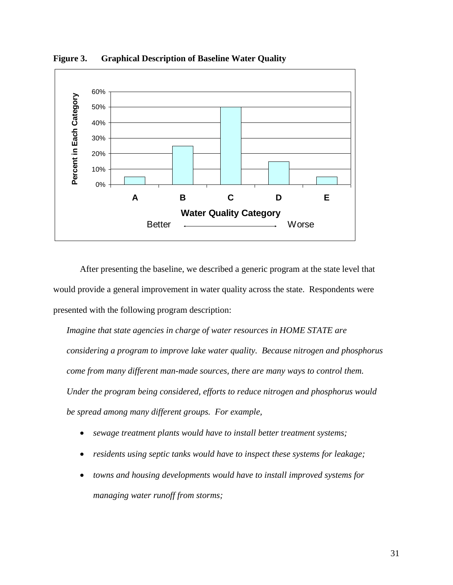

**Figure 3. Graphical Description of Baseline Water Quality**

After presenting the baseline, we described a generic program at the state level that would provide a general improvement in water quality across the state. Respondents were presented with the following program description:

*Imagine that state agencies in charge of water resources in HOME STATE are considering a program to improve lake water quality. Because nitrogen and phosphorus come from many different man-made sources, there are many ways to control them. Under the program being considered, efforts to reduce nitrogen and phosphorus would be spread among many different groups. For example,*

- *sewage treatment plants would have to install better treatment systems;*
- *residents using septic tanks would have to inspect these systems for leakage;*
- *towns and housing developments would have to install improved systems for managing water runoff from storms;*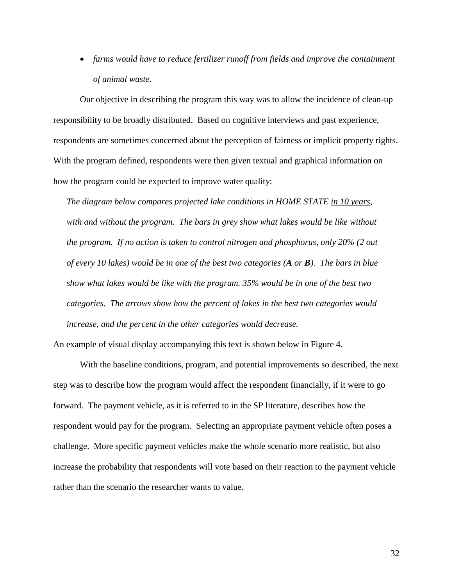*farms would have to reduce fertilizer runoff from fields and improve the containment of animal waste.*

Our objective in describing the program this way was to allow the incidence of clean-up responsibility to be broadly distributed. Based on cognitive interviews and past experience, respondents are sometimes concerned about the perception of fairness or implicit property rights. With the program defined, respondents were then given textual and graphical information on how the program could be expected to improve water quality:

*The diagram below compares projected lake conditions in HOME STATE in 10 years, with and without the program. The bars in grey show what lakes would be like without the program. If no action is taken to control nitrogen and phosphorus, only 20% (2 out of every 10 lakes) would be in one of the best two categories (A or B). The bars in blue show what lakes would be like with the program. 35% would be in one of the best two categories. The arrows show how the percent of lakes in the best two categories would increase, and the percent in the other categories would decrease.* 

An example of visual display accompanying this text is shown below in Figure 4.

With the baseline conditions, program, and potential improvements so described, the next step was to describe how the program would affect the respondent financially, if it were to go forward. The payment vehicle, as it is referred to in the SP literature, describes how the respondent would pay for the program. Selecting an appropriate payment vehicle often poses a challenge. More specific payment vehicles make the whole scenario more realistic, but also increase the probability that respondents will vote based on their reaction to the payment vehicle rather than the scenario the researcher wants to value.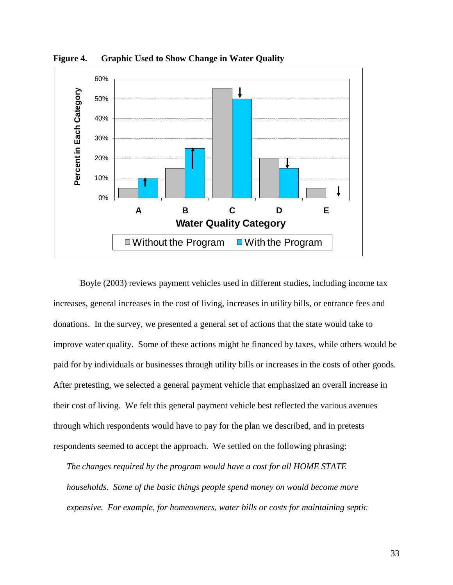

**Figure 4. Graphic Used to Show Change in Water Quality**

Boyle (2003) reviews payment vehicles used in different studies, including income tax increases, general increases in the cost of living, increases in utility bills, or entrance fees and donations. In the survey, we presented a general set of actions that the state would take to improve water quality. Some of these actions might be financed by taxes, while others would be paid for by individuals or businesses through utility bills or increases in the costs of other goods. After pretesting, we selected a general payment vehicle that emphasized an overall increase in their cost of living. We felt this general payment vehicle best reflected the various avenues through which respondents would have to pay for the plan we described, and in pretests respondents seemed to accept the approach. We settled on the following phrasing:

*The changes required by the program would have a cost for all HOME STATE households. Some of the basic things people spend money on would become more expensive. For example, for homeowners, water bills or costs for maintaining septic*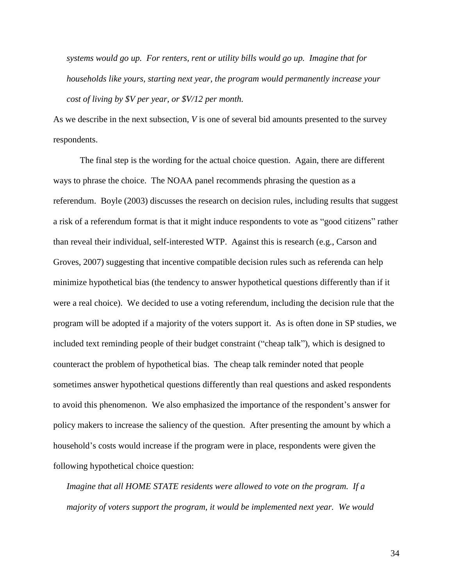*systems would go up. For renters, rent or utility bills would go up. Imagine that for households like yours, starting next year, the program would permanently increase your cost of living by \$V per year, or \$V/12 per month.* 

As we describe in the next subsection, *V* is one of several bid amounts presented to the survey respondents.

The final step is the wording for the actual choice question. Again, there are different ways to phrase the choice. The NOAA panel recommends phrasing the question as a referendum. Boyle (2003) discusses the research on decision rules, including results that suggest a risk of a referendum format is that it might induce respondents to vote as "good citizens" rather than reveal their individual, self-interested WTP. Against this is research (e.g., Carson and Groves, 2007) suggesting that incentive compatible decision rules such as referenda can help minimize hypothetical bias (the tendency to answer hypothetical questions differently than if it were a real choice). We decided to use a voting referendum, including the decision rule that the program will be adopted if a majority of the voters support it. As is often done in SP studies, we included text reminding people of their budget constraint ("cheap talk"), which is designed to counteract the problem of hypothetical bias. The cheap talk reminder noted that people sometimes answer hypothetical questions differently than real questions and asked respondents to avoid this phenomenon. We also emphasized the importance of the respondent's answer for policy makers to increase the saliency of the question. After presenting the amount by which a household's costs would increase if the program were in place, respondents were given the following hypothetical choice question:

*Imagine that all HOME STATE residents were allowed to vote on the program. If a majority of voters support the program, it would be implemented next year. We would* 

34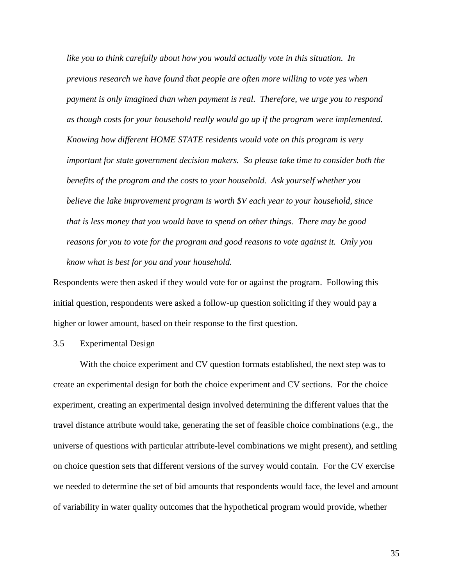*like you to think carefully about how you would actually vote in this situation. In previous research we have found that people are often more willing to vote yes when payment is only imagined than when payment is real. Therefore, we urge you to respond as though costs for your household really would go up if the program were implemented. Knowing how different HOME STATE residents would vote on this program is very important for state government decision makers. So please take time to consider both the benefits of the program and the costs to your household. Ask yourself whether you believe the lake improvement program is worth \$V each year to your household, since that is less money that you would have to spend on other things. There may be good reasons for you to vote for the program and good reasons to vote against it. Only you know what is best for you and your household.* 

Respondents were then asked if they would vote for or against the program. Following this initial question, respondents were asked a follow-up question soliciting if they would pay a higher or lower amount, based on their response to the first question.

3.5 Experimental Design

With the choice experiment and CV question formats established, the next step was to create an experimental design for both the choice experiment and CV sections. For the choice experiment, creating an experimental design involved determining the different values that the travel distance attribute would take, generating the set of feasible choice combinations (e.g., the universe of questions with particular attribute-level combinations we might present), and settling on choice question sets that different versions of the survey would contain. For the CV exercise we needed to determine the set of bid amounts that respondents would face, the level and amount of variability in water quality outcomes that the hypothetical program would provide, whether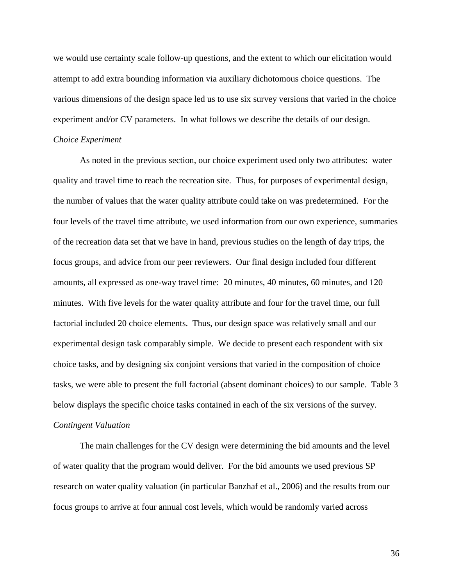we would use certainty scale follow-up questions, and the extent to which our elicitation would attempt to add extra bounding information via auxiliary dichotomous choice questions. The various dimensions of the design space led us to use six survey versions that varied in the choice experiment and/or CV parameters. In what follows we describe the details of our design.

#### *Choice Experiment*

As noted in the previous section, our choice experiment used only two attributes: water quality and travel time to reach the recreation site. Thus, for purposes of experimental design, the number of values that the water quality attribute could take on was predetermined. For the four levels of the travel time attribute, we used information from our own experience, summaries of the recreation data set that we have in hand, previous studies on the length of day trips, the focus groups, and advice from our peer reviewers. Our final design included four different amounts, all expressed as one-way travel time: 20 minutes, 40 minutes, 60 minutes, and 120 minutes. With five levels for the water quality attribute and four for the travel time, our full factorial included 20 choice elements. Thus, our design space was relatively small and our experimental design task comparably simple. We decide to present each respondent with six choice tasks, and by designing six conjoint versions that varied in the composition of choice tasks, we were able to present the full factorial (absent dominant choices) to our sample. Table 3 below displays the specific choice tasks contained in each of the six versions of the survey. *Contingent Valuation*

The main challenges for the CV design were determining the bid amounts and the level of water quality that the program would deliver. For the bid amounts we used previous SP research on water quality valuation (in particular Banzhaf et al., 2006) and the results from our focus groups to arrive at four annual cost levels, which would be randomly varied across

36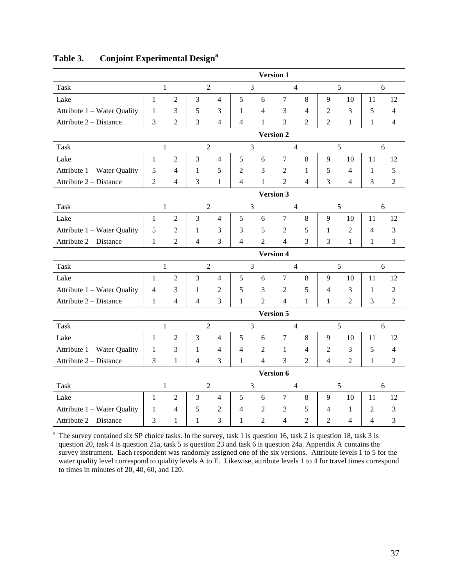|                             |                  |                          |                |                          |                | <b>Version 1</b> |                  |                |                |                |                |                |
|-----------------------------|------------------|--------------------------|----------------|--------------------------|----------------|------------------|------------------|----------------|----------------|----------------|----------------|----------------|
| <b>Task</b>                 |                  | $\mathbf{1}$             |                | $\overline{2}$           |                | 3                |                  | $\overline{4}$ |                | 5              |                | 6              |
| Lake                        | $\mathbf{1}$     | $\overline{c}$           | 3              | $\overline{4}$           | 5              | 6                | $\boldsymbol{7}$ | 8              | 9              | 10             | 11             | 12             |
| Attribute 1 – Water Quality | $\mathbf{1}$     | 3                        | 5              | 3                        | $\mathbf{1}$   | $\overline{4}$   | 3                | $\overline{4}$ | $\mathfrak 2$  | 3              | 5              | $\overline{4}$ |
| Attribute 2 - Distance      | 3                | $\overline{2}$           | $\overline{3}$ | $\overline{\mathcal{A}}$ | 4              | 1                | $\overline{3}$   | $\overline{2}$ | $\overline{2}$ | $\mathbf{1}$   | $\mathbf{1}$   | 4              |
|                             |                  |                          |                |                          |                |                  | <b>Version 2</b> |                |                |                |                |                |
| <b>Task</b>                 |                  | $\mathbf{1}$             |                | $\overline{2}$           |                | 3                |                  | $\overline{4}$ |                | 5              |                | 6              |
| Lake                        | $\mathbf{1}$     | $\overline{2}$           | 3              | $\overline{4}$           | 5              | 6                | $\tau$           | 8              | 9              | 10             | 11             | 12             |
| Attribute 1 – Water Quality | 5                | 4                        | $\mathbf{1}$   | 5                        | 2              | 3                | $\mathfrak{2}$   | $\mathbf{1}$   | 5              | $\overline{4}$ | 1              | 5              |
| Attribute 2 – Distance      | $\overline{2}$   | 4                        | 3              | 1                        | $\overline{4}$ | 1                | $\overline{2}$   | $\overline{4}$ | 3              | $\overline{4}$ | 3              | $\overline{2}$ |
|                             |                  |                          |                |                          |                |                  | <b>Version 3</b> |                |                |                |                |                |
| <b>Task</b>                 |                  | $\mathbf{1}$             |                | $\overline{2}$           |                | $\overline{3}$   |                  | $\overline{4}$ |                | 5              |                | 6              |
| Lake                        | $\mathbf{1}$     | $\overline{c}$           | 3              | $\overline{4}$           | 5              | 6                | $\tau$           | $\,8\,$        | 9              | 10             | 11             | 12             |
| Attribute 1 – Water Quality | 5                | $\overline{2}$           | $\mathbf{1}$   | 3                        | 3              | 5                | $\overline{2}$   | 5              | $\mathbf{1}$   | $\overline{2}$ | $\overline{4}$ | 3              |
| Attribute 2 - Distance      | $\mathbf{1}$     | $\overline{2}$           | 4              | 3                        | $\overline{4}$ | $\overline{2}$   | $\overline{4}$   | 3              | 3              | $\mathbf{1}$   | $\mathbf{1}$   | 3              |
|                             | <b>Version 4</b> |                          |                |                          |                |                  |                  |                |                |                |                |                |
| <b>Task</b>                 |                  | $\mathbf{1}$             |                | $\overline{2}$           |                | 3                |                  | $\overline{4}$ |                | 5              |                | 6              |
| Lake                        | $\mathbf{1}$     | $\overline{2}$           | 3              | $\overline{4}$           | 5              | 6                | $\overline{7}$   | 8              | 9              | 10             | 11             | 12             |
| Attribute 1 - Water Quality | 4                | 3                        | $\mathbf{1}$   | $\overline{2}$           | 5              | 3                | $\overline{2}$   | 5              | 4              | 3              | 1              | $\overline{2}$ |
| Attribute 2 - Distance      | 1                | $\overline{\mathcal{L}}$ | $\overline{4}$ | 3                        | $\mathbf{1}$   | $\overline{2}$   | 4                | $\mathbf{1}$   | 1              | $\mathfrak{D}$ | 3              | $\overline{2}$ |
|                             |                  |                          |                |                          |                |                  | <b>Version 5</b> |                |                |                |                |                |
| <b>Task</b>                 |                  | $\mathbf{1}$             |                | $\overline{2}$           |                | $\overline{3}$   |                  | $\overline{4}$ |                | 5              |                | 6              |
| Lake                        | 1                | $\mathfrak{2}$           | 3              | $\overline{4}$           | 5              | 6                | $\tau$           | 8              | 9              | 10             | 11             | 12             |
| Attribute 1 – Water Quality | 1                | 3                        | $\mathbf{1}$   | $\overline{4}$           | $\overline{4}$ | $\mathfrak{2}$   | 1                | 4              | $\overline{c}$ | 3              | 5              | $\overline{4}$ |
| Attribute 2 - Distance      | 3                | $\mathbf{1}$             | 4              | 3                        | 1              | $\overline{4}$   | 3                | $\overline{2}$ | $\overline{4}$ | 2              | $\mathbf{1}$   | $\overline{2}$ |
|                             | Version 6        |                          |                |                          |                |                  |                  |                |                |                |                |                |
| <b>Task</b>                 |                  | $\mathbf{1}$             |                | $\overline{2}$           |                | 3                |                  | $\overline{4}$ |                | 5              |                | 6              |
| Lake                        | 1                | $\overline{2}$           | $\mathfrak{Z}$ | $\overline{4}$           | $\sqrt{5}$     | $\sqrt{6}$       | $\tau$           | $\,8\,$        | 9              | 10             | 11             | 12             |
| Attribute 1 – Water Quality | 1                | 4                        | 5              | 2                        | 4              | $\mathfrak{2}$   | $\overline{2}$   | $\sqrt{5}$     | 4              | $\mathbf{1}$   | $\overline{2}$ | 3              |
| Attribute 2 - Distance      | 3                | $\mathbf{1}$             | $\mathbf{1}$   | 3                        | $\mathbf{1}$   | $\overline{2}$   | $\overline{4}$   | $\overline{2}$ | $\overline{2}$ | $\overline{4}$ | $\overline{4}$ | 3              |

# **Table 3. Conjoint Experimental Design<sup>a</sup>**

<sup>a</sup> The survey contained six SP choice tasks. In the survey, task 1 is question 16, task 2 is question 18, task 3 is question 20, task 4 is question 21a, task 5 is question 23 and task 6 is question 24a. Appendix A contains the survey instrument. Each respondent was randomly assigned one of the six versions. Attribute levels 1 to 5 for the water quality level correspond to quality levels A to E. Likewise, attribute levels 1 to 4 for travel times correspond to times in minutes of 20, 40, 60, and 120.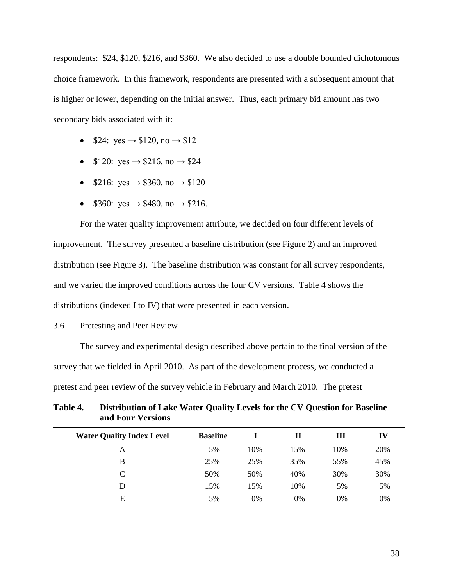respondents: \$24, \$120, \$216, and \$360. We also decided to use a double bounded dichotomous choice framework. In this framework, respondents are presented with a subsequent amount that is higher or lower, depending on the initial answer. Thus, each primary bid amount has two secondary bids associated with it:

- $$24: yes \rightarrow $120, no \rightarrow $12$
- $$120: yes \rightarrow $216, no \rightarrow $24$
- $$216: yes \rightarrow $360, no \rightarrow $120$
- $$360: yes \rightarrow $480, no \rightarrow $216.$

For the water quality improvement attribute, we decided on four different levels of improvement. The survey presented a baseline distribution (see Figure 2) and an improved distribution (see Figure 3). The baseline distribution was constant for all survey respondents, and we varied the improved conditions across the four CV versions. Table 4 shows the distributions (indexed I to IV) that were presented in each version.

3.6 Pretesting and Peer Review

The survey and experimental design described above pertain to the final version of the survey that we fielded in April 2010. As part of the development process, we conducted a pretest and peer review of the survey vehicle in February and March 2010. The pretest

| Table 4. | Distribution of Lake Water Quality Levels for the CV Question for Baseline |
|----------|----------------------------------------------------------------------------|
|          | and Four Versions                                                          |

| <b>Water Quality Index Level</b> | <b>Baseline</b> |     | Н   | Ш   | IV  |
|----------------------------------|-----------------|-----|-----|-----|-----|
| A                                | 5%              | 10% | 15% | 10% | 20% |
| B                                | 25%             | 25% | 35% | 55% | 45% |
| C                                | 50%             | 50% | 40% | 30% | 30% |
| D                                | 15%             | 15% | 10% | 5%  | 5%  |
| Е                                | 5%              | 0%  | 0%  | 0%  | 0%  |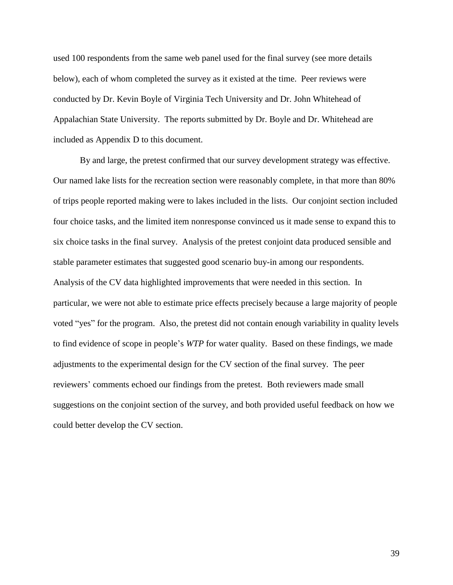used 100 respondents from the same web panel used for the final survey (see more details below), each of whom completed the survey as it existed at the time. Peer reviews were conducted by Dr. Kevin Boyle of Virginia Tech University and Dr. John Whitehead of Appalachian State University. The reports submitted by Dr. Boyle and Dr. Whitehead are included as Appendix D to this document.

By and large, the pretest confirmed that our survey development strategy was effective. Our named lake lists for the recreation section were reasonably complete, in that more than 80% of trips people reported making were to lakes included in the lists. Our conjoint section included four choice tasks, and the limited item nonresponse convinced us it made sense to expand this to six choice tasks in the final survey. Analysis of the pretest conjoint data produced sensible and stable parameter estimates that suggested good scenario buy-in among our respondents. Analysis of the CV data highlighted improvements that were needed in this section. In particular, we were not able to estimate price effects precisely because a large majority of people voted "yes" for the program. Also, the pretest did not contain enough variability in quality levels to find evidence of scope in people's *WTP* for water quality. Based on these findings, we made adjustments to the experimental design for the CV section of the final survey. The peer reviewers' comments echoed our findings from the pretest. Both reviewers made small suggestions on the conjoint section of the survey, and both provided useful feedback on how we could better develop the CV section.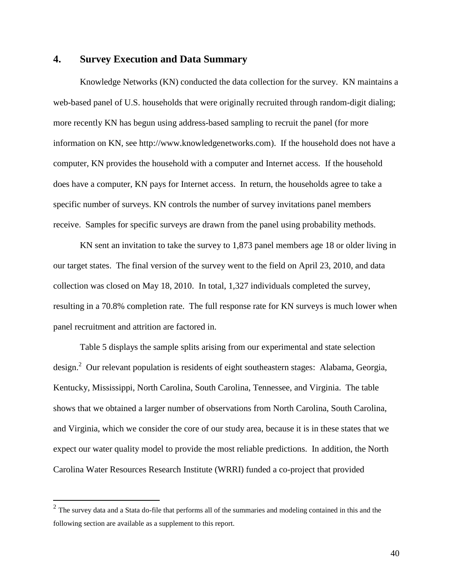## **4. Survey Execution and Data Summary**

Knowledge Networks (KN) conducted the data collection for the survey. KN maintains a web-based panel of U.S. households that were originally recruited through random-digit dialing; more recently KN has begun using address-based sampling to recruit the panel (for more information on KN, see http://www.knowledgenetworks.com). If the household does not have a computer, KN provides the household with a computer and Internet access. If the household does have a computer, KN pays for Internet access. In return, the households agree to take a specific number of surveys. KN controls the number of survey invitations panel members receive. Samples for specific surveys are drawn from the panel using probability methods.

KN sent an invitation to take the survey to 1,873 panel members age 18 or older living in our target states. The final version of the survey went to the field on April 23, 2010, and data collection was closed on May 18, 2010. In total, 1,327 individuals completed the survey, resulting in a 70.8% completion rate. The full response rate for KN surveys is much lower when panel recruitment and attrition are factored in.

Table 5 displays the sample splits arising from our experimental and state selection design.<sup>2</sup> Our relevant population is residents of eight southeastern stages: Alabama, Georgia, Kentucky, Mississippi, North Carolina, South Carolina, Tennessee, and Virginia. The table shows that we obtained a larger number of observations from North Carolina, South Carolina, and Virginia, which we consider the core of our study area, because it is in these states that we expect our water quality model to provide the most reliable predictions. In addition, the North Carolina Water Resources Research Institute (WRRI) funded a co-project that provided

<sup>&</sup>lt;sup>2</sup> The survey data and a Stata do-file that performs all of the summaries and modeling contained in this and the following section are available as a supplement to this report.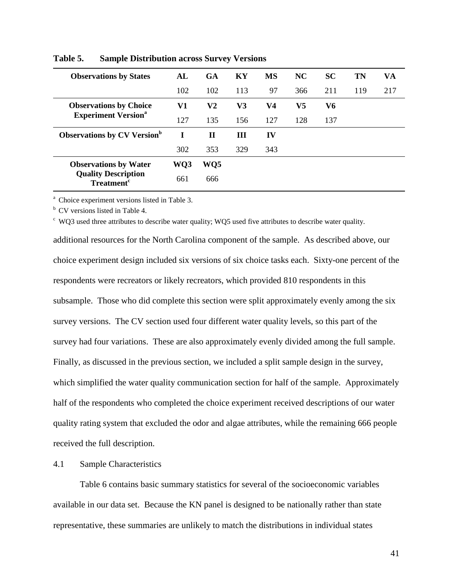| <b>Observations by States</b>                              | AL  | GA  | KY  | <b>MS</b> | NC  | <b>SC</b> | <b>TN</b> | VA  |
|------------------------------------------------------------|-----|-----|-----|-----------|-----|-----------|-----------|-----|
|                                                            | 102 | 102 | 113 | 97        | 366 | 211       | 119       | 217 |
| <b>Observations by Choice</b>                              | V1  | V2  | V3  | V4        | V5  | V6        |           |     |
| <b>Experiment Version</b> <sup>a</sup>                     | 127 | 135 | 156 | 127       | 128 | 137       |           |     |
| <b>Observations by CV Version</b> <sup>b</sup>             | I   | П   | Ш   | IV        |     |           |           |     |
|                                                            | 302 | 353 | 329 | 343       |     |           |           |     |
| <b>Observations by Water</b>                               | WQ3 | WQ5 |     |           |     |           |           |     |
| <b>Quality Description</b><br><b>Treatment<sup>c</sup></b> | 661 | 666 |     |           |     |           |           |     |

**Table 5. Sample Distribution across Survey Versions**

<sup>a</sup> Choice experiment versions listed in Table 3.

 $<sup>b</sup>$  CV versions listed in Table 4.</sup>

<sup>c</sup> WQ3 used three attributes to describe water quality; WQ5 used five attributes to describe water quality.

additional resources for the North Carolina component of the sample. As described above, our choice experiment design included six versions of six choice tasks each. Sixty-one percent of the respondents were recreators or likely recreators, which provided 810 respondents in this subsample. Those who did complete this section were split approximately evenly among the six survey versions. The CV section used four different water quality levels, so this part of the survey had four variations. These are also approximately evenly divided among the full sample. Finally, as discussed in the previous section, we included a split sample design in the survey, which simplified the water quality communication section for half of the sample. Approximately half of the respondents who completed the choice experiment received descriptions of our water quality rating system that excluded the odor and algae attributes, while the remaining 666 people received the full description.

## 4.1 Sample Characteristics

Table 6 contains basic summary statistics for several of the socioeconomic variables available in our data set. Because the KN panel is designed to be nationally rather than state representative, these summaries are unlikely to match the distributions in individual states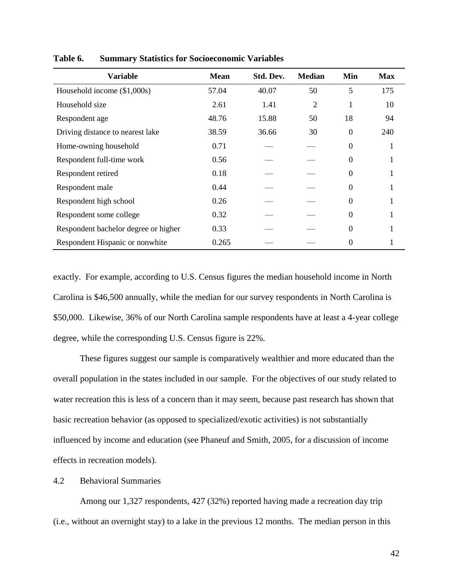| <b>Variable</b>                      | <b>Mean</b> | Std. Dev. | <b>Median</b> | Min            | <b>Max</b> |
|--------------------------------------|-------------|-----------|---------------|----------------|------------|
| Household income (\$1,000s)          | 57.04       | 40.07     | 50            | 5              | 175        |
| Household size                       | 2.61        | 1.41      | 2             |                | 10         |
| Respondent age                       | 48.76       | 15.88     | 50            | 18             | 94         |
| Driving distance to nearest lake     | 38.59       | 36.66     | 30            | $\overline{0}$ | 240        |
| Home-owning household                | 0.71        |           |               | $\theta$       |            |
| Respondent full-time work            | 0.56        |           |               | $\Omega$       |            |
| Respondent retired                   | 0.18        |           |               | $\theta$       |            |
| Respondent male                      | 0.44        |           |               | $\theta$       |            |
| Respondent high school               | 0.26        |           |               | 0              |            |
| Respondent some college              | 0.32        |           |               | $\Omega$       |            |
| Respondent bachelor degree or higher | 0.33        |           |               | $\theta$       |            |
| Respondent Hispanic or nonwhite      | 0.265       |           |               | 0              |            |

**Table 6. Summary Statistics for Socioeconomic Variables**

exactly. For example, according to U.S. Census figures the median household income in North Carolina is \$46,500 annually, while the median for our survey respondents in North Carolina is \$50,000. Likewise, 36% of our North Carolina sample respondents have at least a 4-year college degree, while the corresponding U.S. Census figure is 22%.

These figures suggest our sample is comparatively wealthier and more educated than the overall population in the states included in our sample. For the objectives of our study related to water recreation this is less of a concern than it may seem, because past research has shown that basic recreation behavior (as opposed to specialized/exotic activities) is not substantially influenced by income and education (see Phaneuf and Smith, 2005, for a discussion of income effects in recreation models).

4.2 Behavioral Summaries

Among our 1,327 respondents, 427 (32%) reported having made a recreation day trip (i.e., without an overnight stay) to a lake in the previous 12 months. The median person in this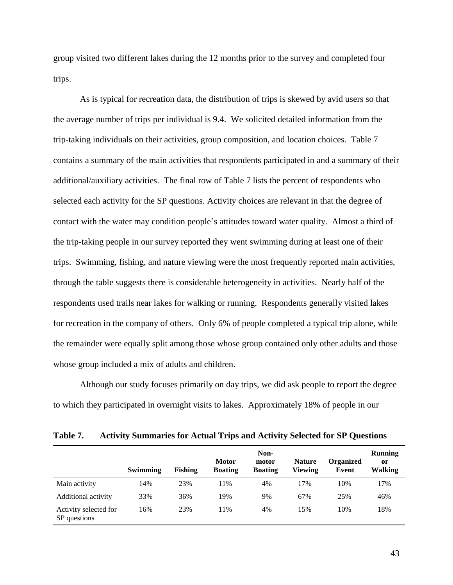group visited two different lakes during the 12 months prior to the survey and completed four trips.

As is typical for recreation data, the distribution of trips is skewed by avid users so that the average number of trips per individual is 9.4. We solicited detailed information from the trip-taking individuals on their activities, group composition, and location choices. Table 7 contains a summary of the main activities that respondents participated in and a summary of their additional/auxiliary activities. The final row of Table 7 lists the percent of respondents who selected each activity for the SP questions. Activity choices are relevant in that the degree of contact with the water may condition people's attitudes toward water quality. Almost a third of the trip-taking people in our survey reported they went swimming during at least one of their trips. Swimming, fishing, and nature viewing were the most frequently reported main activities, through the table suggests there is considerable heterogeneity in activities. Nearly half of the respondents used trails near lakes for walking or running. Respondents generally visited lakes for recreation in the company of others. Only 6% of people completed a typical trip alone, while the remainder were equally split among those whose group contained only other adults and those whose group included a mix of adults and children.

Although our study focuses primarily on day trips, we did ask people to report the degree to which they participated in overnight visits to lakes. Approximately 18% of people in our

| 100RC 70<br>Activity Duminities for Actual Trips and Activity Detected for Dr. Questions |          |                |                                |                                 |                          |                           |                                            |  |  |  |  |
|------------------------------------------------------------------------------------------|----------|----------------|--------------------------------|---------------------------------|--------------------------|---------------------------|--------------------------------------------|--|--|--|--|
|                                                                                          | Swimming | <b>Fishing</b> | <b>Motor</b><br><b>Boating</b> | Non-<br>motor<br><b>Boating</b> | <b>Nature</b><br>Viewing | <b>Organized</b><br>Event | <b>Running</b><br><sub>or</sub><br>Walking |  |  |  |  |
| Main activity                                                                            | 14%      | 23%            | 11%                            | 4%                              | 17%                      | 10%                       | 17%                                        |  |  |  |  |
| Additional activity                                                                      | 33%      | 36%            | 19%                            | 9%                              | 67%                      | 25%                       | 46%                                        |  |  |  |  |
| Activity selected for<br>SP questions                                                    | 16%      | 23%            | 11%                            | 4%                              | 15%                      | 10%                       | 18%                                        |  |  |  |  |

**Table 7. Activity Summaries for Actual Trips and Activity Selected for SP Questions**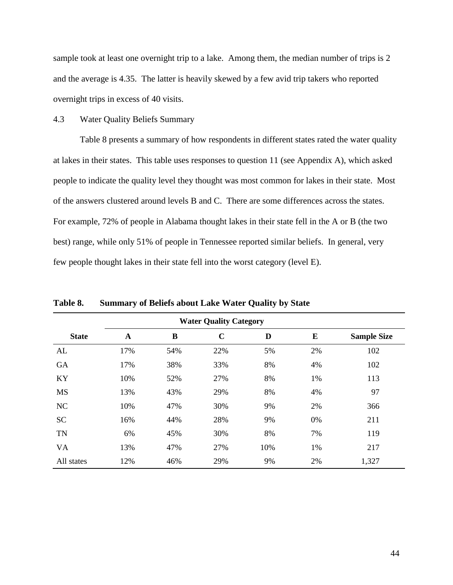sample took at least one overnight trip to a lake. Among them, the median number of trips is 2 and the average is 4.35. The latter is heavily skewed by a few avid trip takers who reported overnight trips in excess of 40 visits.

## 4.3 Water Quality Beliefs Summary

Table 8 presents a summary of how respondents in different states rated the water quality at lakes in their states. This table uses responses to question 11 (see Appendix A), which asked people to indicate the quality level they thought was most common for lakes in their state. Most of the answers clustered around levels B and C. There are some differences across the states. For example, 72% of people in Alabama thought lakes in their state fell in the A or B (the two best) range, while only 51% of people in Tennessee reported similar beliefs. In general, very few people thought lakes in their state fell into the worst category (level E).

|              |             |     | <b>Water Quality Category</b> |     |    |                    |
|--------------|-------------|-----|-------------------------------|-----|----|--------------------|
| <b>State</b> | $\mathbf A$ | B   | $\mathbf C$                   | D   | E  | <b>Sample Size</b> |
| AL           | 17%         | 54% | 22%                           | 5%  | 2% | 102                |
| <b>GA</b>    | 17%         | 38% | 33%                           | 8%  | 4% | 102                |
| KY           | 10%         | 52% | 27%                           | 8%  | 1% | 113                |
| <b>MS</b>    | 13%         | 43% | 29%                           | 8%  | 4% | 97                 |
| <b>NC</b>    | 10%         | 47% | 30%                           | 9%  | 2% | 366                |
| <b>SC</b>    | 16%         | 44% | 28%                           | 9%  | 0% | 211                |
| <b>TN</b>    | 6%          | 45% | 30%                           | 8%  | 7% | 119                |
| <b>VA</b>    | 13%         | 47% | 27%                           | 10% | 1% | 217                |
| All states   | 12%         | 46% | 29%                           | 9%  | 2% | 1,327              |

**Table 8. Summary of Beliefs about Lake Water Quality by State**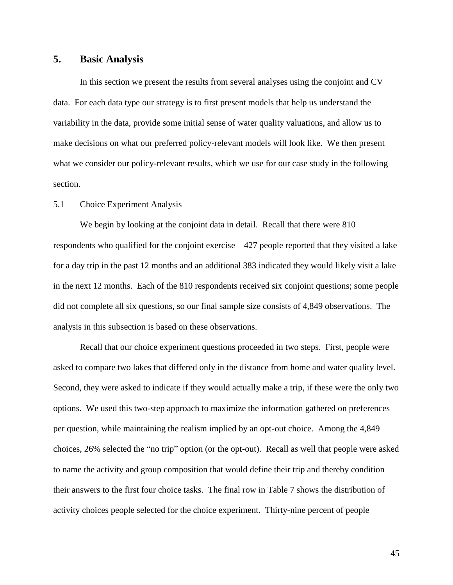## **5. Basic Analysis**

In this section we present the results from several analyses using the conjoint and CV data. For each data type our strategy is to first present models that help us understand the variability in the data, provide some initial sense of water quality valuations, and allow us to make decisions on what our preferred policy-relevant models will look like. We then present what we consider our policy-relevant results, which we use for our case study in the following section.

## 5.1 Choice Experiment Analysis

We begin by looking at the conjoint data in detail. Recall that there were 810 respondents who qualified for the conjoint exercise  $-427$  people reported that they visited a lake for a day trip in the past 12 months and an additional 383 indicated they would likely visit a lake in the next 12 months. Each of the 810 respondents received six conjoint questions; some people did not complete all six questions, so our final sample size consists of 4,849 observations. The analysis in this subsection is based on these observations.

Recall that our choice experiment questions proceeded in two steps. First, people were asked to compare two lakes that differed only in the distance from home and water quality level. Second, they were asked to indicate if they would actually make a trip, if these were the only two options. We used this two-step approach to maximize the information gathered on preferences per question, while maintaining the realism implied by an opt-out choice. Among the 4,849 choices, 26% selected the "no trip" option (or the opt-out). Recall as well that people were asked to name the activity and group composition that would define their trip and thereby condition their answers to the first four choice tasks. The final row in Table 7 shows the distribution of activity choices people selected for the choice experiment. Thirty-nine percent of people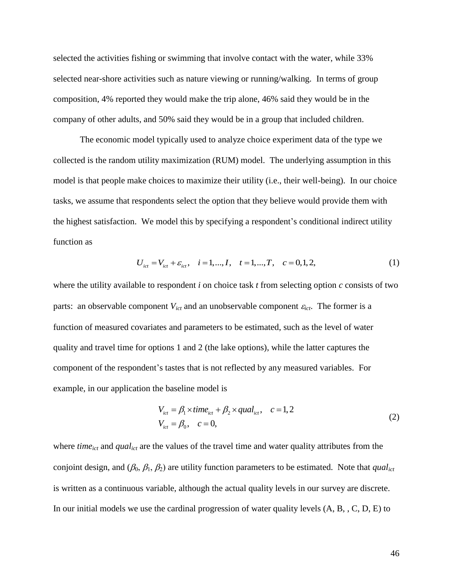selected the activities fishing or swimming that involve contact with the water, while 33% selected near-shore activities such as nature viewing or running/walking. In terms of group composition, 4% reported they would make the trip alone, 46% said they would be in the company of other adults, and 50% said they would be in a group that included children.

The economic model typically used to analyze choice experiment data of the type we collected is the random utility maximization (RUM) model. The underlying assumption in this model is that people make choices to maximize their utility (i.e., their well-being). In our choice tasks, we assume that respondents select the option that they believe would provide them with the highest satisfaction. We model this by specifying a respondent's conditional indirect utility function as

$$
U_{ict} = V_{ict} + \varepsilon_{ict}, \quad i = 1, ..., I, \quad t = 1, ..., T, \quad c = 0, 1, 2,
$$
 (1)

where the utility available to respondent *i* on choice task *t* from selecting option *c* consists of two parts: an observable component  $V_{ict}$  and an unobservable component  $\varepsilon_{ict}$ . The former is a function of measured covariates and parameters to be estimated, such as the level of water quality and travel time for options 1 and 2 (the lake options), while the latter captures the component of the respondent's tastes that is not reflected by any measured variables. For example, in our application the baseline model is

$$
V_{ict} = \beta_1 \times time_{ict} + \beta_2 \times qual_{ict}, \quad c = 1, 2
$$
  
\n
$$
V_{ict} = \beta_0, \quad c = 0,
$$
\n(2)

where *time*<sub>ict</sub> and *qual*<sub>ict</sub> are the values of the travel time and water quality attributes from the conjoint design, and  $(\beta_0, \beta_1, \beta_2)$  are utility function parameters to be estimated. Note that *qual*<sub>ict</sub> is written as a continuous variable, although the actual quality levels in our survey are discrete. In our initial models we use the cardinal progression of water quality levels (A, B, , C, D, E) to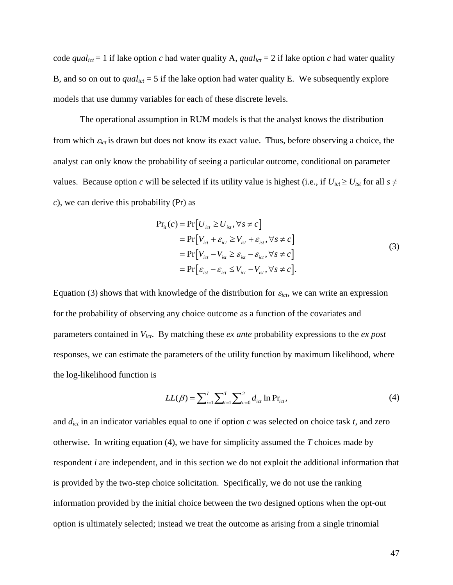code *qual*<sub>ict</sub> = 1 if lake option *c* had water quality A, *qual*<sub>ict</sub> = 2 if lake option *c* had water quality B, and so on out to  $qual_{ict} = 5$  if the lake option had water quality E. We subsequently explore models that use dummy variables for each of these discrete levels.

The operational assumption in RUM models is that the analyst knows the distribution from which  $\varepsilon_{ict}$  is drawn but does not know its exact value. Thus, before observing a choice, the analyst can only know the probability of seeing a particular outcome, conditional on parameter values. Because option *c* will be selected if its utility value is highest (i.e., if  $U_{ict} \ge U_{ist}$  for all  $s \ne$ *c*), we can derive this probability (Pr) as

$$
Pr_{it}(c) = Pr[U_{ict} \ge U_{ist}, \forall s \ne c]
$$
  
= Pr[V<sub>ict</sub> + \varepsilon<sub>ict</sub> \ge V<sub>ist</sub> + \varepsilon<sub>ist</sub>, \forall s \ne c]  
= Pr[V<sub>ict</sub> - V<sub>ist</sub> \ge \varepsilon<sub>ist</sub> - \varepsilon<sub>ict</sub>, \forall s \ne c]  
= Pr[\varepsilon<sub>ist</sub> - \varepsilon<sub>ict</sub> \le V<sub>ict</sub> - V<sub>ist</sub>, \forall s \ne c]. (3)

Equation (3) shows that with knowledge of the distribution for  $\varepsilon_{ict}$ , we can write an expression for the probability of observing any choice outcome as a function of the covariates and parameters contained in *Vict*. By matching these *ex ante* probability expressions to the *ex post* responses, we can estimate the parameters of the utility function by maximum likelihood, where the log-likelihood function is

$$
LL(\beta) = \sum_{i=1}^{I} \sum_{r=1}^{T} \sum_{c=0}^{2} d_{ict} \ln \Pr_{ict},
$$
\n(4)

and *dict* in an indicator variables equal to one if option *c* was selected on choice task *t*, and zero otherwise. In writing equation (4), we have for simplicity assumed the *T* choices made by respondent *i* are independent, and in this section we do not exploit the additional information that is provided by the two-step choice solicitation. Specifically, we do not use the ranking information provided by the initial choice between the two designed options when the opt-out option is ultimately selected; instead we treat the outcome as arising from a single trinomial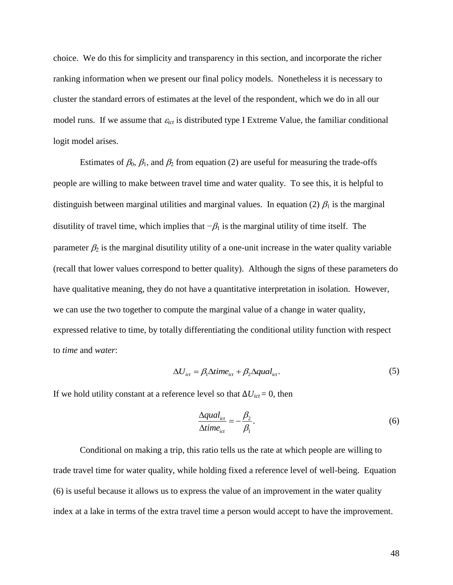choice. We do this for simplicity and transparency in this section, and incorporate the richer ranking information when we present our final policy models. Nonetheless it is necessary to cluster the standard errors of estimates at the level of the respondent, which we do in all our model runs. If we assume that  $\varepsilon_{ict}$  is distributed type I Extreme Value, the familiar conditional logit model arises.

Estimates of  $\beta_0$ ,  $\beta_1$ , and  $\beta_2$  from equation (2) are useful for measuring the trade-offs people are willing to make between travel time and water quality. To see this, it is helpful to distinguish between marginal utilities and marginal values. In equation (2)  $\beta_1$  is the marginal disutility of travel time, which implies that  $-\beta_1$  is the marginal utility of time itself. The parameter  $\beta_2$  is the marginal disutility utility of a one-unit increase in the water quality variable (recall that lower values correspond to better quality). Although the signs of these parameters do have qualitative meaning, they do not have a quantitative interpretation in isolation. However, we can use the two together to compute the marginal value of a change in water quality, expressed relative to time, by totally differentiating the conditional utility function with respect to *time* and *water*:

$$
\Delta U_{\text{ict}} = \beta_1 \Delta \text{time}_{\text{ict}} + \beta_2 \Delta \text{qual}_{\text{ict}}.
$$
\n(5)

If we hold utility constant at a reference level so that  $\Delta U_{ict} = 0$ , then

$$
\frac{\Delta \text{qual}_{\text{ict}}}{\Delta \text{time}_{\text{ict}}} = -\frac{\beta_2}{\beta_1}.\tag{6}
$$

Conditional on making a trip, this ratio tells us the rate at which people are willing to trade travel time for water quality, while holding fixed a reference level of well-being. Equation (6) is useful because it allows us to express the value of an improvement in the water quality index at a lake in terms of the extra travel time a person would accept to have the improvement.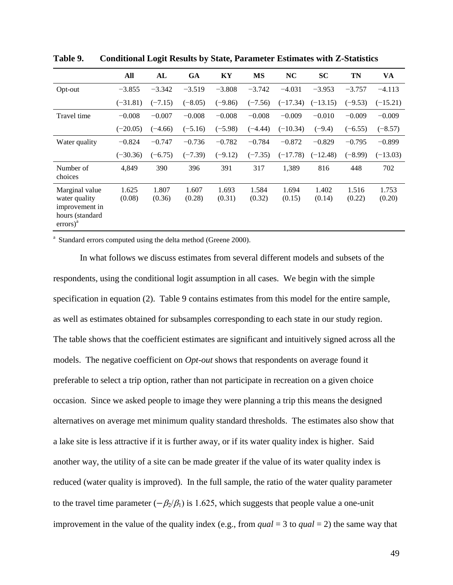|                                                                                                      | All             | AL              | <b>GA</b>       | KY              | <b>MS</b>       | <b>NC</b>       | <b>SC</b>       | <b>TN</b>       | VA              |
|------------------------------------------------------------------------------------------------------|-----------------|-----------------|-----------------|-----------------|-----------------|-----------------|-----------------|-----------------|-----------------|
| Opt-out                                                                                              | $-3.855$        | $-3.342$        | $-3.519$        | $-3.808$        | $-3.742$        | $-4.031$        | $-3.953$        | $-3.757$        | $-4.113$        |
|                                                                                                      | $(-31.81)$      | $(-7.15)$       | $(-8.05)$       | $(-9.86)$       | $(-7.56)$       | $(-17.34)$      | $(-13.15)$      | $(-9.53)$       | $(-15.21)$      |
| Travel time                                                                                          | $-0.008$        | $-0.007$        | $-0.008$        | $-0.008$        | $-0.008$        | $-0.009$        | $-0.010$        | $-0.009$        | $-0.009$        |
|                                                                                                      | $(-20.05)$      | $(-4.66)$       | $(-5.16)$       | $(-5.98)$       | $(-4.44)$       | $(-10.34)$      | $(-9.4)$        | $(-6.55)$       | $(-8.57)$       |
| Water quality                                                                                        | $-0.824$        | $-0.747$        | $-0.736$        | $-0.782$        | $-0.784$        | $-0.872$        | $-0.829$        | $-0.795$        | $-0.899$        |
|                                                                                                      | $(-30.36)$      | $(-6.75)$       | $(-7.39)$       | $(-9.12)$       | $(-7.35)$       | $(-17.78)$      | $(-12.48)$      | $(-8.99)$       | $(-13.03)$      |
| Number of<br>choices                                                                                 | 4,849           | 390             | 396             | 391             | 317             | 1,389           | 816             | 448             | 702             |
| Marginal value<br>water quality<br>improvement in<br>hours (standard<br>$\text{errors}$ <sup>a</sup> | 1.625<br>(0.08) | 1.807<br>(0.36) | 1.607<br>(0.28) | 1.693<br>(0.31) | 1.584<br>(0.32) | 1.694<br>(0.15) | 1.402<br>(0.14) | 1.516<br>(0.22) | 1.753<br>(0.20) |

**Table 9. Conditional Logit Results by State, Parameter Estimates with Z-Statistics**

<sup>a</sup> Standard errors computed using the delta method (Greene 2000).

In what follows we discuss estimates from several different models and subsets of the respondents, using the conditional logit assumption in all cases. We begin with the simple specification in equation (2). Table 9 contains estimates from this model for the entire sample, as well as estimates obtained for subsamples corresponding to each state in our study region. The table shows that the coefficient estimates are significant and intuitively signed across all the models. The negative coefficient on *Opt-out* shows that respondents on average found it preferable to select a trip option, rather than not participate in recreation on a given choice occasion. Since we asked people to image they were planning a trip this means the designed alternatives on average met minimum quality standard thresholds. The estimates also show that a lake site is less attractive if it is further away, or if its water quality index is higher. Said another way, the utility of a site can be made greater if the value of its water quality index is reduced (water quality is improved). In the full sample, the ratio of the water quality parameter to the travel time parameter ( $-\beta_2/\beta_1$ ) is 1.625, which suggests that people value a one-unit improvement in the value of the quality index (e.g., from  $qual = 3$  to  $qual = 2$ ) the same way that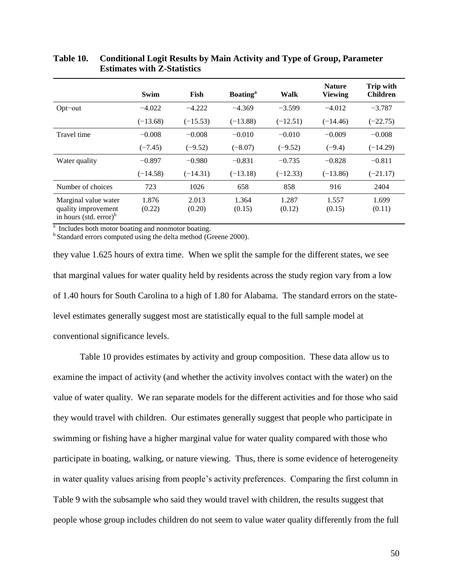|                                                                                      | Swim            | Fish            | <b>Boating</b> <sup>a</sup> | Walk            | <b>Nature</b><br><b>Viewing</b> | <b>Trip with</b><br><b>Children</b> |
|--------------------------------------------------------------------------------------|-----------------|-----------------|-----------------------------|-----------------|---------------------------------|-------------------------------------|
| $Opt$ -out                                                                           | $-4.022$        | $-4.222$        | $-4.369$                    | $-3.599$        | $-4.012$                        | $-3.787$                            |
|                                                                                      | $(-13.68)$      | $(-15.53)$      | $(-13.88)$                  | $(-12.51)$      | $(-14.46)$                      | $(-22.75)$                          |
| Travel time                                                                          | $-0.008$        | $-0.008$        | $-0.010$                    | $-0.010$        | $-0.009$                        | $-0.008$                            |
|                                                                                      | $(-7.45)$       | $(-9.52)$       | $(-8.07)$                   | $(-9.52)$       | $(-9.4)$                        | $(-14.29)$                          |
| Water quality                                                                        | $-0.897$        | $-0.980$        | $-0.831$                    | $-0.735$        | $-0.828$                        | $-0.811$                            |
|                                                                                      | $(-14.58)$      | $(-14.31)$      | $(-13.18)$                  | $(-12.33)$      | $(-13.86)$                      | $(-21.17)$                          |
| Number of choices                                                                    | 723             | 1026            | 658                         | 858             | 916                             | 2404                                |
| Marginal value water<br>quality improvement<br>in hours (std. $error$ ) <sup>b</sup> | 1.876<br>(0.22) | 2.013<br>(0.20) | 1.364<br>(0.15)             | 1.287<br>(0.12) | 1.557<br>(0.15)                 | 1.699<br>(0.11)                     |

## **Table 10. Conditional Logit Results by Main Activity and Type of Group, Parameter Estimates with Z-Statistics**

<sup>a</sup> Includes both motor boating and nonmotor boating.

<sup>b</sup> Standard errors computed using the delta method (Greene 2000).

they value 1.625 hours of extra time. When we split the sample for the different states, we see that marginal values for water quality held by residents across the study region vary from a low of 1.40 hours for South Carolina to a high of 1.80 for Alabama. The standard errors on the statelevel estimates generally suggest most are statistically equal to the full sample model at conventional significance levels.

Table 10 provides estimates by activity and group composition. These data allow us to examine the impact of activity (and whether the activity involves contact with the water) on the value of water quality. We ran separate models for the different activities and for those who said they would travel with children. Our estimates generally suggest that people who participate in swimming or fishing have a higher marginal value for water quality compared with those who participate in boating, walking, or nature viewing. Thus, there is some evidence of heterogeneity in water quality values arising from people's activity preferences. Comparing the first column in Table 9 with the subsample who said they would travel with children, the results suggest that people whose group includes children do not seem to value water quality differently from the full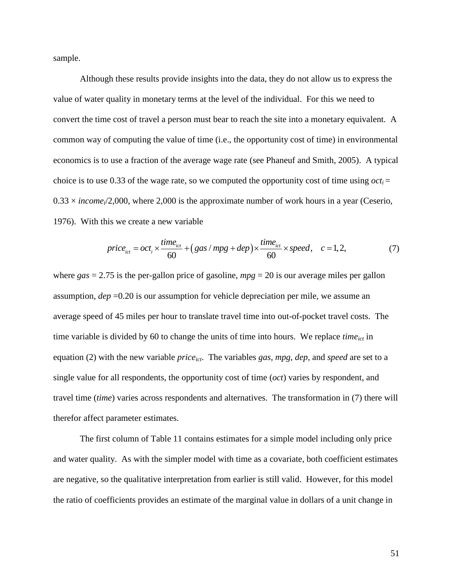sample.

Although these results provide insights into the data, they do not allow us to express the value of water quality in monetary terms at the level of the individual. For this we need to convert the time cost of travel a person must bear to reach the site into a monetary equivalent. A common way of computing the value of time (i.e., the opportunity cost of time) in environmental economics is to use a fraction of the average wage rate (see Phaneuf and Smith, 2005). A typical choice is to use 0.33 of the wage rate, so we computed the opportunity cost of time using  $oct<sub>i</sub> =$  $0.33 \times income/2,000$ , where 2,000 is the approximate number of work hours in a year (Ceserio, 1976). With this we create a new variable

nis we create a new variable  
\n
$$
price_{ict} = oct_{i} \times \frac{time_{ict}}{60} + (gas/mpg + dep) \times \frac{time_{ict}}{60} \times speed, \quad c = 1, 2,
$$
\n(7)

where *gas* = 2.75 is the per-gallon price of gasoline, *mpg* = 20 is our average miles per gallon assumption, *dep* =0.20 is our assumption for vehicle depreciation per mile, we assume an average speed of 45 miles per hour to translate travel time into out-of-pocket travel costs. The time variable is divided by 60 to change the units of time into hours. We replace *timeict* in equation (2) with the new variable *priceict*. The variables *gas*, *mpg*, *dep*, and *speed* are set to a single value for all respondents, the opportunity cost of time (*oct*) varies by respondent, and travel time (*time*) varies across respondents and alternatives. The transformation in (7) there will therefor affect parameter estimates.

The first column of Table 11 contains estimates for a simple model including only price and water quality. As with the simpler model with time as a covariate, both coefficient estimates are negative, so the qualitative interpretation from earlier is still valid. However, for this model the ratio of coefficients provides an estimate of the marginal value in dollars of a unit change in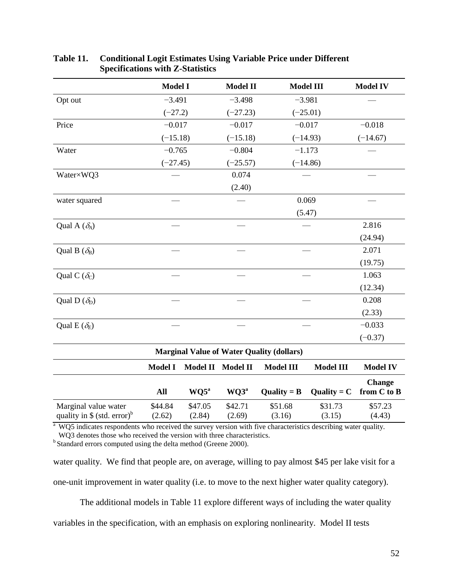|                                                                  | <b>Model I</b>    |                   | <b>Model II</b>   |                                                  | <b>Model III</b>  | <b>Model IV</b>              |
|------------------------------------------------------------------|-------------------|-------------------|-------------------|--------------------------------------------------|-------------------|------------------------------|
| Opt out                                                          | $-3.491$          |                   | $-3.498$          |                                                  | $-3.981$          |                              |
|                                                                  | $(-27.2)$         |                   | $(-27.23)$        |                                                  | $(-25.01)$        |                              |
| Price                                                            | $-0.017$          |                   | $-0.017$          |                                                  | $-0.017$          | $-0.018$                     |
|                                                                  | $(-15.18)$        |                   | $(-15.18)$        |                                                  | $(-14.93)$        | $(-14.67)$                   |
| Water                                                            | $-0.765$          |                   | $-0.804$          |                                                  | $-1.173$          |                              |
|                                                                  | $(-27.45)$        |                   | $(-25.57)$        |                                                  | $(-14.86)$        |                              |
| Water×WQ3                                                        |                   |                   | 0.074             |                                                  |                   |                              |
|                                                                  |                   |                   | (2.40)            |                                                  |                   |                              |
| water squared                                                    |                   |                   |                   |                                                  | 0.069             |                              |
|                                                                  |                   |                   |                   |                                                  | (5.47)            |                              |
| Qual A $(\delta_A)$                                              |                   |                   |                   |                                                  |                   | 2.816                        |
|                                                                  |                   |                   |                   |                                                  |                   | (24.94)                      |
| Qual B $(\delta_B)$                                              |                   |                   |                   |                                                  |                   | 2.071                        |
|                                                                  |                   |                   |                   |                                                  |                   | (19.75)                      |
| Qual C $(\delta_c)$                                              |                   |                   |                   |                                                  |                   | 1.063                        |
|                                                                  |                   |                   |                   |                                                  |                   | (12.34)                      |
| Qual D $(\delta_D)$                                              |                   |                   |                   |                                                  |                   | 0.208                        |
|                                                                  |                   |                   |                   |                                                  |                   | (2.33)                       |
| Qual E $(\delta_F)$                                              |                   |                   |                   |                                                  |                   | $-0.033$                     |
|                                                                  |                   |                   |                   |                                                  |                   | $(-0.37)$                    |
|                                                                  |                   |                   |                   | <b>Marginal Value of Water Quality (dollars)</b> |                   |                              |
|                                                                  | <b>Model I</b>    | <b>Model II</b>   | <b>Model II</b>   | <b>Model III</b>                                 | <b>Model III</b>  | <b>Model IV</b>              |
|                                                                  | All               | $WQ5^a$           | WQ3 <sup>a</sup>  | Quality = $B$                                    | Quality = $C$     | <b>Change</b><br>from C to B |
|                                                                  |                   |                   |                   |                                                  |                   |                              |
| Marginal value water<br>quality in $$$ (std. error) <sup>b</sup> | \$44.84<br>(2.62) | \$47.05<br>(2.84) | \$42.71<br>(2.69) | \$51.68<br>(3.16)                                | \$31.73<br>(3.15) | \$57.23<br>(4.43)            |

## **Table 11. Conditional Logit Estimates Using Variable Price under Different Specifications with Z-Statistics**

<sup>a</sup> WQ5 indicates respondents who received the survey version with five characteristics describing water quality. WQ3 denotes those who received the version with three characteristics.

<sup>b</sup> Standard errors computed using the delta method (Greene 2000).

water quality. We find that people are, on average, willing to pay almost \$45 per lake visit for a one-unit improvement in water quality (i.e. to move to the next higher water quality category).

The additional models in Table 11 explore different ways of including the water quality

variables in the specification, with an emphasis on exploring nonlinearity. Model II tests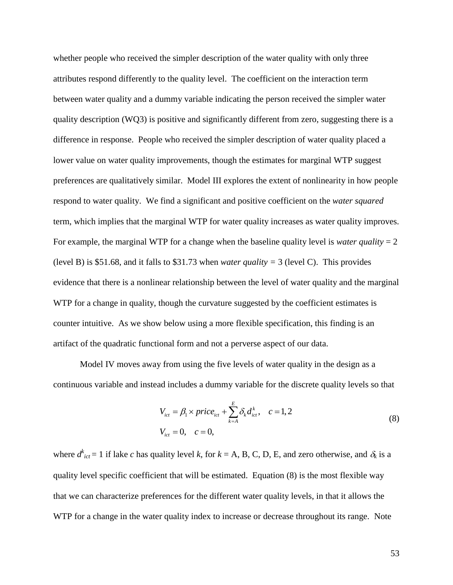whether people who received the simpler description of the water quality with only three attributes respond differently to the quality level. The coefficient on the interaction term between water quality and a dummy variable indicating the person received the simpler water quality description (WQ3) is positive and significantly different from zero, suggesting there is a difference in response. People who received the simpler description of water quality placed a lower value on water quality improvements, though the estimates for marginal WTP suggest preferences are qualitatively similar. Model III explores the extent of nonlinearity in how people respond to water quality. We find a significant and positive coefficient on the *water squared* term, which implies that the marginal WTP for water quality increases as water quality improves. For example, the marginal WTP for a change when the baseline quality level is *water quality*  $= 2$ (level B) is \$51.68, and it falls to \$31.73 when *water quality =* 3 (level C). This provides evidence that there is a nonlinear relationship between the level of water quality and the marginal WTP for a change in quality, though the curvature suggested by the coefficient estimates is counter intuitive. As we show below using a more flexible specification, this finding is an artifact of the quadratic functional form and not a perverse aspect of our data.

Model IV moves away from using the five levels of water quality in the design as a continuous variable and instead includes a dummy variable for the discrete quality levels so that

$$
V_{ict} = \beta_1 \times price_{ict} + \sum_{k=A}^{E} \delta_k d_{ict}^k, \quad c = 1, 2
$$
  
\n
$$
V_{ict} = 0, \quad c = 0,
$$
 (8)

where  $d_{ict}^k = 1$  if lake *c* has quality level *k*, for  $k = A$ , B, C, D, E, and zero otherwise, and  $\delta_k$  is a quality level specific coefficient that will be estimated. Equation (8) is the most flexible way that we can characterize preferences for the different water quality levels, in that it allows the WTP for a change in the water quality index to increase or decrease throughout its range. Note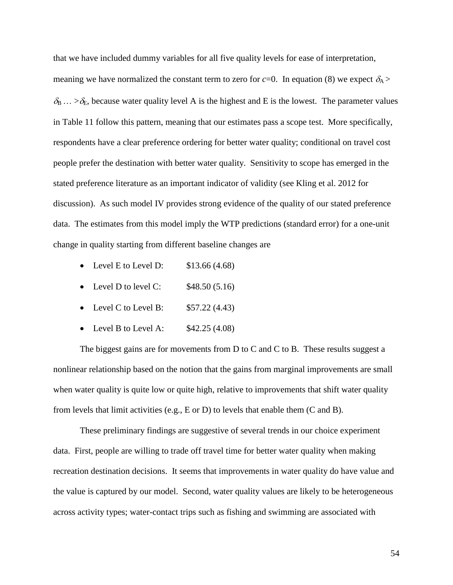that we have included dummy variables for all five quality levels for ease of interpretation,

meaning we have normalized the constant term to zero for  $c=0$ . In equation (8) we expect  $\delta_A$  >  $\delta_B$  ...  $>\delta_E$ , because water quality level A is the highest and E is the lowest. The parameter values in Table 11 follow this pattern, meaning that our estimates pass a scope test. More specifically, respondents have a clear preference ordering for better water quality; conditional on travel cost people prefer the destination with better water quality. Sensitivity to scope has emerged in the stated preference literature as an important indicator of validity (see Kling et al. 2012 for discussion). As such model IV provides strong evidence of the quality of our stated preference data. The estimates from this model imply the WTP predictions (standard error) for a one-unit change in quality starting from different baseline changes are

- Level E to Level D:  $$13.66 (4.68)$
- Level D to level C:  $$48.50 (5.16)$
- Level C to Level B:  $$57.22 (4.43)$
- Level B to Level A:  $$42.25 (4.08)$

The biggest gains are for movements from D to C and C to B. These results suggest a nonlinear relationship based on the notion that the gains from marginal improvements are small when water quality is quite low or quite high, relative to improvements that shift water quality from levels that limit activities (e.g., E or D) to levels that enable them (C and B).

These preliminary findings are suggestive of several trends in our choice experiment data. First, people are willing to trade off travel time for better water quality when making recreation destination decisions. It seems that improvements in water quality do have value and the value is captured by our model. Second, water quality values are likely to be heterogeneous across activity types; water-contact trips such as fishing and swimming are associated with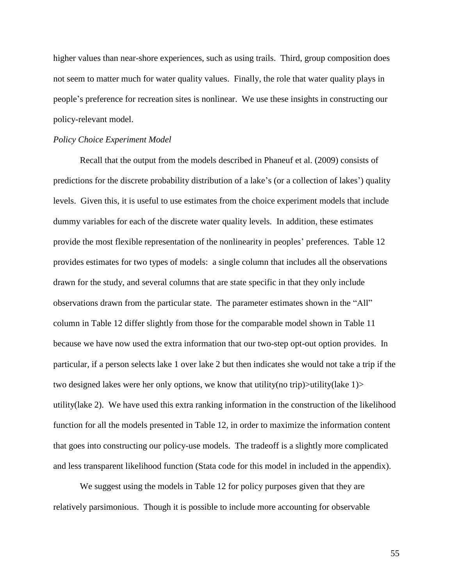higher values than near-shore experiences, such as using trails. Third, group composition does not seem to matter much for water quality values. Finally, the role that water quality plays in people's preference for recreation sites is nonlinear. We use these insights in constructing our policy-relevant model.

#### *Policy Choice Experiment Model*

Recall that the output from the models described in Phaneuf et al. (2009) consists of predictions for the discrete probability distribution of a lake's (or a collection of lakes') quality levels. Given this, it is useful to use estimates from the choice experiment models that include dummy variables for each of the discrete water quality levels. In addition, these estimates provide the most flexible representation of the nonlinearity in peoples' preferences. Table 12 provides estimates for two types of models: a single column that includes all the observations drawn for the study, and several columns that are state specific in that they only include observations drawn from the particular state. The parameter estimates shown in the "All" column in Table 12 differ slightly from those for the comparable model shown in Table 11 because we have now used the extra information that our two-step opt-out option provides. In particular, if a person selects lake 1 over lake 2 but then indicates she would not take a trip if the two designed lakes were her only options, we know that utility(no trip)>utility(lake 1)> utility(lake 2). We have used this extra ranking information in the construction of the likelihood function for all the models presented in Table 12, in order to maximize the information content that goes into constructing our policy-use models. The tradeoff is a slightly more complicated and less transparent likelihood function (Stata code for this model in included in the appendix).

We suggest using the models in Table 12 for policy purposes given that they are relatively parsimonious. Though it is possible to include more accounting for observable

55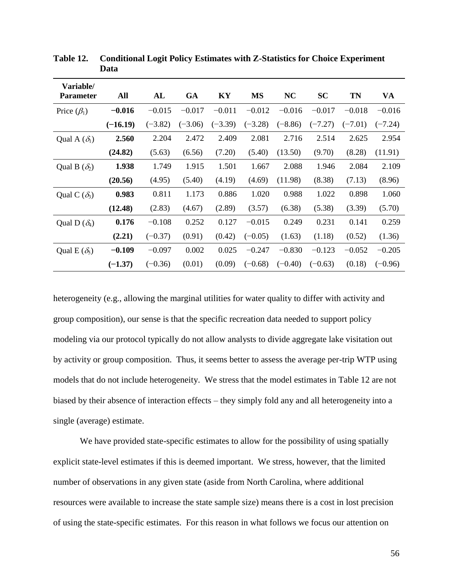| Variable/           |            |           |           |           |           |           |           |           |           |
|---------------------|------------|-----------|-----------|-----------|-----------|-----------|-----------|-----------|-----------|
| <b>Parameter</b>    | All        | AL        | <b>GA</b> | KY        | <b>MS</b> | <b>NC</b> | <b>SC</b> | <b>TN</b> | VA        |
| Price $(\beta_1)$   | $-0.016$   | $-0.015$  | $-0.017$  | $-0.011$  | $-0.012$  | $-0.016$  | $-0.017$  | $-0.018$  | $-0.016$  |
|                     | $(-16.19)$ | $(-3.82)$ | $(-3.06)$ | $(-3.39)$ | $(-3.28)$ | $(-8.86)$ | $(-7.27)$ | $(-7.01)$ | $(-7.24)$ |
| Qual A $(\delta_1)$ | 2.560      | 2.204     | 2.472     | 2.409     | 2.081     | 2.716     | 2.514     | 2.625     | 2.954     |
|                     | (24.82)    | (5.63)    | (6.56)    | (7.20)    | (5.40)    | (13.50)   | (9.70)    | (8.28)    | (11.91)   |
| Qual B $(\delta_2)$ | 1.938      | 1.749     | 1.915     | 1.501     | 1.667     | 2.088     | 1.946     | 2.084     | 2.109     |
|                     | (20.56)    | (4.95)    | (5.40)    | (4.19)    | (4.69)    | (11.98)   | (8.38)    | (7.13)    | (8.96)    |
| Qual C $(\delta_3)$ | 0.983      | 0.811     | 1.173     | 0.886     | 1.020     | 0.988     | 1.022     | 0.898     | 1.060     |
|                     | (12.48)    | (2.83)    | (4.67)    | (2.89)    | (3.57)    | (6.38)    | (5.38)    | (3.39)    | (5.70)    |
| Qual D $(\delta_4)$ | 0.176      | $-0.108$  | 0.252     | 0.127     | $-0.015$  | 0.249     | 0.231     | 0.141     | 0.259     |
|                     | (2.21)     | $(-0.37)$ | (0.91)    | (0.42)    | $(-0.05)$ | (1.63)    | (1.18)    | (0.52)    | (1.36)    |
| Qual E $(\delta_5)$ | $-0.109$   | $-0.097$  | 0.002     | 0.025     | $-0.247$  | $-0.830$  | $-0.123$  | $-0.052$  | $-0.205$  |
|                     | $(-1.37)$  | $(-0.36)$ | (0.01)    | (0.09)    | $(-0.68)$ | $(-0.40)$ | $(-0.63)$ | (0.18)    | $(-0.96)$ |

**Table 12. Conditional Logit Policy Estimates with Z-Statistics for Choice Experiment Data** 

heterogeneity (e.g., allowing the marginal utilities for water quality to differ with activity and group composition), our sense is that the specific recreation data needed to support policy modeling via our protocol typically do not allow analysts to divide aggregate lake visitation out by activity or group composition. Thus, it seems better to assess the average per-trip WTP using models that do not include heterogeneity. We stress that the model estimates in Table 12 are not biased by their absence of interaction effects – they simply fold any and all heterogeneity into a single (average) estimate.

We have provided state-specific estimates to allow for the possibility of using spatially explicit state-level estimates if this is deemed important. We stress, however, that the limited number of observations in any given state (aside from North Carolina, where additional resources were available to increase the state sample size) means there is a cost in lost precision of using the state-specific estimates. For this reason in what follows we focus our attention on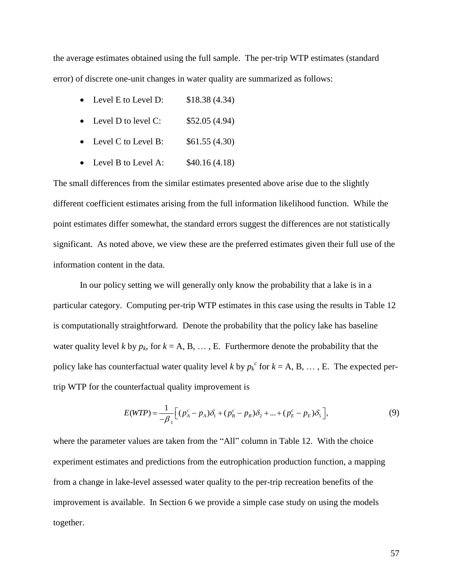the average estimates obtained using the full sample. The per-trip WTP estimates (standard error) of discrete one-unit changes in water quality are summarized as follows:

- Level E to Level D:  $$18.38(4.34)$
- Level D to level C:  $$52.05 (4.94)$
- Level C to Level B:  $$61.55 (4.30)$
- Level B to Level A:  $$40.16 (4.18)$

The small differences from the similar estimates presented above arise due to the slightly different coefficient estimates arising from the full information likelihood function. While the point estimates differ somewhat, the standard errors suggest the differences are not statistically significant. As noted above, we view these are the preferred estimates given their full use of the information content in the data.

In our policy setting we will generally only know the probability that a lake is in a particular category. Computing per-trip WTP estimates in this case using the results in Table 12 is computationally straightforward. Denote the probability that the policy lake has baseline water quality level *k* by  $p_k$ , for  $k = A, B, \ldots, E$ . Furthermore denote the probability that the policy lake has counterfactual water quality level *k* by  $p_k^c$  for  $k = A, B, \ldots, E$ . The expected pertrip WTP for the counterfactual quality improvement is

$$
E(WTP) = \frac{1}{-\beta_1} \Big[ (p_A^c - p_A)\delta_1 + (p_B^c - p_B)\delta_2 + ... + (p_E^c - p_E)\delta_5 \Big],
$$
\n(9)

where the parameter values are taken from the "All" column in Table 12. With the choice experiment estimates and predictions from the eutrophication production function, a mapping from a change in lake-level assessed water quality to the per-trip recreation benefits of the improvement is available. In Section 6 we provide a simple case study on using the models together.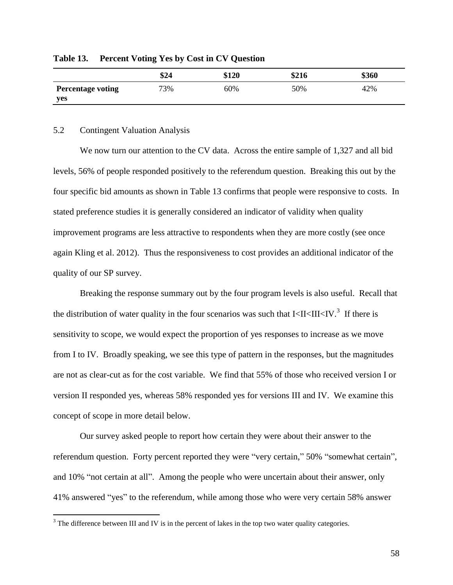|                          | \$24 | \$120 | \$216 | \$360 |
|--------------------------|------|-------|-------|-------|
| <b>Percentage voting</b> | 73%  | 60%   | 50%   | 42%   |
| yes                      |      |       |       |       |

**Table 13. Percent Voting Yes by Cost in CV Question**

#### 5.2 Contingent Valuation Analysis

 $\overline{a}$ 

We now turn our attention to the CV data. Across the entire sample of 1,327 and all bid levels, 56% of people responded positively to the referendum question. Breaking this out by the four specific bid amounts as shown in Table 13 confirms that people were responsive to costs. In stated preference studies it is generally considered an indicator of validity when quality improvement programs are less attractive to respondents when they are more costly (see once again Kling et al. 2012). Thus the responsiveness to cost provides an additional indicator of the quality of our SP survey.

Breaking the response summary out by the four program levels is also useful. Recall that the distribution of water quality in the four scenarios was such that  $I < II < III < IV$ .<sup>3</sup> If there is sensitivity to scope, we would expect the proportion of yes responses to increase as we move from I to IV. Broadly speaking, we see this type of pattern in the responses, but the magnitudes are not as clear-cut as for the cost variable. We find that 55% of those who received version I or version II responded yes, whereas 58% responded yes for versions III and IV. We examine this concept of scope in more detail below.

Our survey asked people to report how certain they were about their answer to the referendum question. Forty percent reported they were "very certain," 50% "somewhat certain", and 10% "not certain at all". Among the people who were uncertain about their answer, only 41% answered "yes" to the referendum, while among those who were very certain 58% answer

<sup>&</sup>lt;sup>3</sup> The difference between III and IV is in the percent of lakes in the top two water quality categories.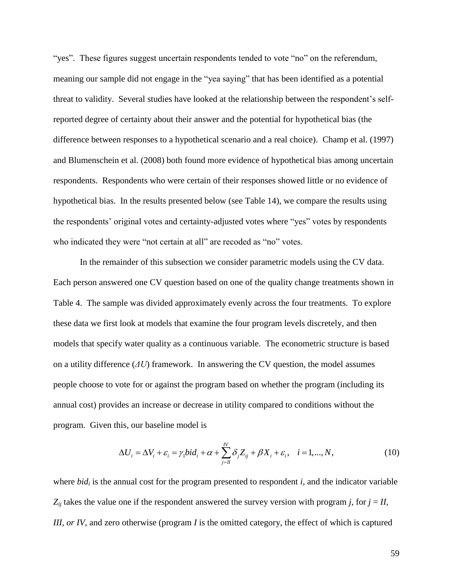"yes". These figures suggest uncertain respondents tended to vote "no" on the referendum, meaning our sample did not engage in the "yea saying" that has been identified as a potential threat to validity. Several studies have looked at the relationship between the respondent's selfreported degree of certainty about their answer and the potential for hypothetical bias (the difference between responses to a hypothetical scenario and a real choice). Champ et al. (1997) and Blumenschein et al. (2008) both found more evidence of hypothetical bias among uncertain respondents. Respondents who were certain of their responses showed little or no evidence of hypothetical bias. In the results presented below (see Table 14), we compare the results using the respondents' original votes and certainty-adjusted votes where "yes" votes by respondents who indicated they were "not certain at all" are recoded as "no" votes.

In the remainder of this subsection we consider parametric models using the CV data. Each person answered one CV question based on one of the quality change treatments shown in Table 4. The sample was divided approximately evenly across the four treatments. To explore these data we first look at models that examine the four program levels discretely, and then models that specify water quality as a continuous variable. The econometric structure is based on a utility difference (*ΔU*) framework. In answering the CV question, the model assumes people choose to vote for or against the program based on whether the program (including its annual cost) provides an increase or decrease in utility compared to conditions without the program. Given this, our baseline model is

This, our baseline model is  
\n
$$
\Delta U_i = \Delta V_i + \varepsilon_i = \gamma_1 bid_i + \alpha + \sum_{j=II}^{N} \delta_j Z_{ij} + \beta X_i + \varepsilon_i, \quad i = 1, ..., N,
$$
\n(10)

where *bid<sup>i</sup>* is the annual cost for the program presented to respondent *i*, and the indicator variable  $Z_{ij}$  takes the value one if the respondent answered the survey version with program *j*, for  $j = II$ , *III, or IV*, and zero otherwise (program *I* is the omitted category, the effect of which is captured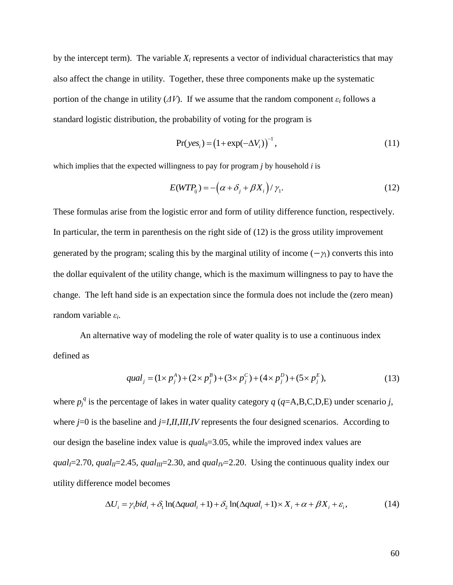by the intercept term). The variable  $X_i$  represents a vector of individual characteristics that may also affect the change in utility. Together, these three components make up the systematic portion of the change in utility  $(\Delta V)$ . If we assume that the random component  $\varepsilon_i$  follows a standard logistic distribution, the probability of voting for the program is

$$
Pr(yesi) = (1 + exp(-\Delta Vi))-1,
$$
\n(11)

which implies that the expected willingness to pay for program *j* by household *i* is

$$
E(WTP_{ij}) = -(\alpha + \delta_j + \beta X_i)/\gamma_1.
$$
 (12)

These formulas arise from the logistic error and form of utility difference function, respectively. In particular, the term in parenthesis on the right side of (12) is the gross utility improvement generated by the program; scaling this by the marginal utility of income  $(-\gamma_1)$  converts this into the dollar equivalent of the utility change, which is the maximum willingness to pay to have the change. The left hand side is an expectation since the formula does not include the (zero mean) random variable *ε<sup>i</sup>* .

An alternative way of modeling the role of water quality is to use a continuous index defined as

$$
qual_j = (1 \times p_j^A) + (2 \times p_j^B) + (3 \times p_j^C) + (4 \times p_j^D) + (5 \times p_j^E),
$$
\n(13)

where  $p_j^q$  is the percentage of lakes in water quality category  $q$  ( $q = A, B, C, D, E$ ) under scenario *j*, where *j*=0 is the baseline and *j*=*I*,*II*,*III*,*IV* represents the four designed scenarios. According to our design the baseline index value is  $qual_0 = 3.05$ , while the improved index values are *qual*<sub>*I*</sub>=2.70, *qual<sub>II</sub>*=2.45, *qual<sub>III</sub>*=2.30, and *qual<sub>IV</sub>*=2.20. Using the continuous quality index our utility difference model becomes ce model becomes<br>  $\Delta U_i = \gamma_1 bid_i + \delta_1 \ln(\Delta qual_i + 1) + \delta_2 \ln(\Delta qual_i + 1) \times X_i + \alpha + \beta X_i + \varepsilon_i,$ 

$$
\Delta U_i = \gamma_1 bid_i + \delta_1 \ln(\Delta qual_i + 1) + \delta_2 \ln(\Delta qual_i + 1) \times X_i + \alpha + \beta X_i + \varepsilon_i,
$$
(14)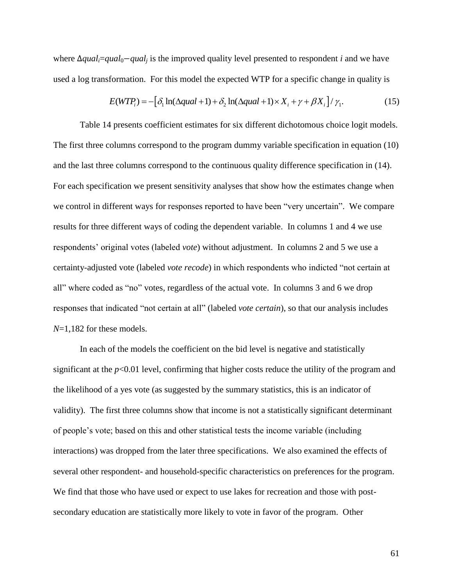where Δ*qual<sub>i</sub>=qual*<sub>0</sub>−*qual<sub>i</sub>* is the improved quality level presented to respondent *i* and we have used a log transformation. For this model the expected WTP for a specific change in quality is<br>  $E(WTP_i) = -[\delta_1 \ln(\Delta qual + 1) + \delta_2 \ln(\Delta qual + 1) \times X_i + \gamma + \beta X_i]/\gamma_1.$  (1)

$$
E(WTP_i) = -\left[\delta_1 \ln(\Delta qual + 1) + \delta_2 \ln(\Delta qual + 1) \times X_i + \gamma + \beta X_i\right] / \gamma_1.
$$
 (15)

Table 14 presents coefficient estimates for six different dichotomous choice logit models. The first three columns correspond to the program dummy variable specification in equation (10) and the last three columns correspond to the continuous quality difference specification in (14). For each specification we present sensitivity analyses that show how the estimates change when we control in different ways for responses reported to have been "very uncertain". We compare results for three different ways of coding the dependent variable. In columns 1 and 4 we use respondents' original votes (labeled *vote*) without adjustment. In columns 2 and 5 we use a certainty-adjusted vote (labeled *vote recode*) in which respondents who indicted "not certain at all" where coded as "no" votes, regardless of the actual vote. In columns 3 and 6 we drop responses that indicated "not certain at all" (labeled *vote certain*), so that our analysis includes *N*=1,182 for these models.

In each of the models the coefficient on the bid level is negative and statistically significant at the  $p<0.01$  level, confirming that higher costs reduce the utility of the program and the likelihood of a yes vote (as suggested by the summary statistics, this is an indicator of validity). The first three columns show that income is not a statistically significant determinant of people's vote; based on this and other statistical tests the income variable (including interactions) was dropped from the later three specifications. We also examined the effects of several other respondent- and household-specific characteristics on preferences for the program. We find that those who have used or expect to use lakes for recreation and those with postsecondary education are statistically more likely to vote in favor of the program. Other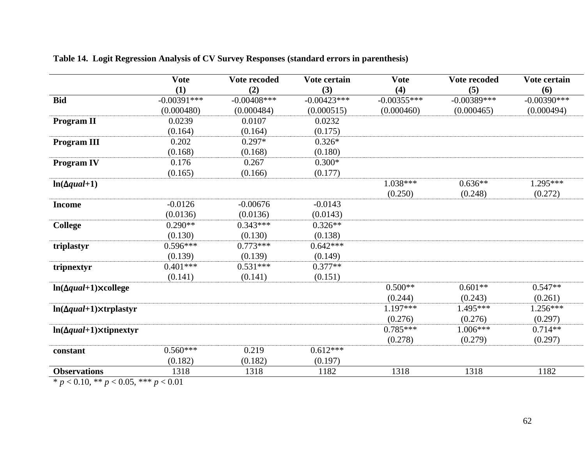|                                                          | <b>Vote</b>   | Vote recoded   | Vote certain  | <b>Vote</b>   | Vote recoded  | Vote certain  |
|----------------------------------------------------------|---------------|----------------|---------------|---------------|---------------|---------------|
|                                                          | (1)           | (2)            | (3)           | (4)           | (5)           | (6)           |
| <b>Bid</b>                                               | $-0.00391***$ | $-0.00408$ *** | $-0.00423***$ | $-0.00355***$ | $-0.00389***$ | $-0.00390***$ |
|                                                          | (0.000480)    | (0.000484)     | (0.000515)    | (0.000460)    | (0.000465)    | (0.000494)    |
| <b>Program II</b>                                        | 0.0239        | 0.0107         | 0.0232        |               |               |               |
|                                                          | (0.164)       | (0.164)        | (0.175)       |               |               |               |
| <b>Program III</b>                                       | 0.202         | $0.297*$       | $0.326*$      |               |               |               |
|                                                          | (0.168)       | (0.168)        | (0.180)       |               |               |               |
| <b>Program IV</b>                                        | 0.176         | 0.267          | $0.300*$      |               |               |               |
|                                                          | (0.165)       | (0.166)        | (0.177)       |               |               |               |
| $ln(\Delta qual+1)$                                      |               |                |               | $1.038***$    | $0.636**$     | $1.295***$    |
|                                                          |               |                |               | (0.250)       | (0.248)       | (0.272)       |
| <b>Income</b>                                            | $-0.0126$     | $-0.00676$     | $-0.0143$     |               |               |               |
|                                                          | (0.0136)      | (0.0136)       | (0.0143)      |               |               |               |
| <b>College</b>                                           | $0.290**$     | $0.343***$     | $0.326**$     |               |               |               |
|                                                          | (0.130)       | (0.130)        | (0.138)       |               |               |               |
| triplastyr                                               | $0.596***$    | $0.773***$     | $0.642***$    |               |               |               |
|                                                          | (0.139)       | (0.139)        | (0.149)       |               |               |               |
| tripnextyr                                               | $0.401***$    | $0.531***$     | $0.377**$     |               |               |               |
|                                                          | (0.141)       | (0.141)        | (0.151)       |               |               |               |
| $\ln(\Delta qual + 1) \times$ college                    |               |                |               | $0.500**$     | $0.601**$     | $0.547**$     |
|                                                          |               |                |               | (0.244)       | (0.243)       | (0.261)       |
| $ln(\Delta qual+1)\times trplastyr$                      |               |                |               | $1.197***$    | 1.495***      | $1.256***$    |
|                                                          |               |                |               | (0.276)       | (0.276)       | (0.297)       |
| $\ln(\Delta qual + 1) \times \text{tipnext}$             |               |                |               | $0.785***$    | $1.006***$    | $0.714**$     |
|                                                          |               |                |               | (0.278)       | (0.279)       | (0.297)       |
| constant                                                 | $0.560***$    | 0.219          | $0.612***$    |               |               |               |
|                                                          | (0.182)       | (0.182)        | (0.197)       |               |               |               |
| <b>Observations</b>                                      | 1318          | 1318           | 1182          | 1318          | 1318          | 1182          |
| 0.10 k<br>$\bigcap_{i=1}^n \bigcap_{i=1}^n \mathbb{Z}^n$ | 0.01          |                |               |               |               |               |

**Table 14. Logit Regression Analysis of CV Survey Responses (standard errors in parenthesis)**

\* *p* < 0.10, \*\* *p* < 0.05, \*\*\* *p* < 0.01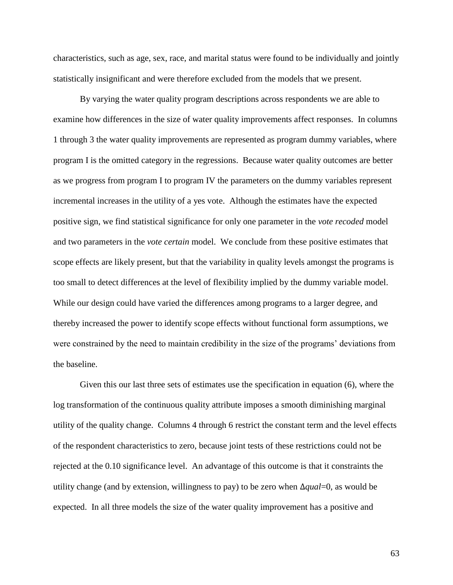characteristics, such as age, sex, race, and marital status were found to be individually and jointly statistically insignificant and were therefore excluded from the models that we present.

By varying the water quality program descriptions across respondents we are able to examine how differences in the size of water quality improvements affect responses. In columns 1 through 3 the water quality improvements are represented as program dummy variables, where program I is the omitted category in the regressions. Because water quality outcomes are better as we progress from program I to program IV the parameters on the dummy variables represent incremental increases in the utility of a yes vote. Although the estimates have the expected positive sign, we find statistical significance for only one parameter in the *vote recoded* model and two parameters in the *vote certain* model. We conclude from these positive estimates that scope effects are likely present, but that the variability in quality levels amongst the programs is too small to detect differences at the level of flexibility implied by the dummy variable model. While our design could have varied the differences among programs to a larger degree, and thereby increased the power to identify scope effects without functional form assumptions, we were constrained by the need to maintain credibility in the size of the programs' deviations from the baseline.

Given this our last three sets of estimates use the specification in equation (6), where the log transformation of the continuous quality attribute imposes a smooth diminishing marginal utility of the quality change. Columns 4 through 6 restrict the constant term and the level effects of the respondent characteristics to zero, because joint tests of these restrictions could not be rejected at the 0.10 significance level. An advantage of this outcome is that it constraints the utility change (and by extension, willingness to pay) to be zero when ∆*qual*=0, as would be expected. In all three models the size of the water quality improvement has a positive and

63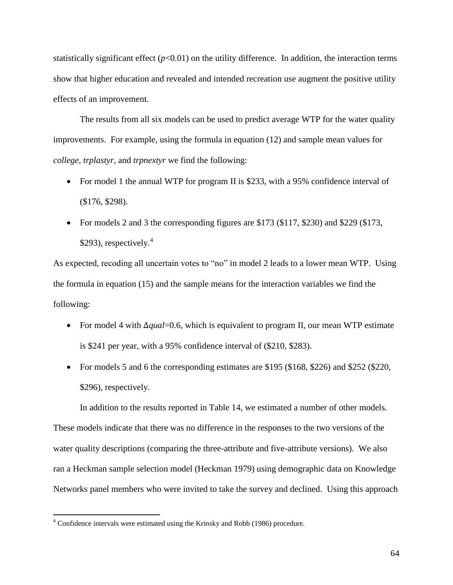statistically significant effect  $(p<0.01)$  on the utility difference. In addition, the interaction terms show that higher education and revealed and intended recreation use augment the positive utility effects of an improvement.

The results from all six models can be used to predict average WTP for the water quality improvements. For example, using the formula in equation (12) and sample mean values for *college*, *trplastyr*, and *trpnextyr* we find the following:

- For model 1 the annual WTP for program II is \$233, with a 95% confidence interval of (\$176, \$298).
- For models 2 and 3 the corresponding figures are \$173 (\$117, \$230) and \$229 (\$173, \$293), respectively. $4$

As expected, recoding all uncertain votes to "no" in model 2 leads to a lower mean WTP. Using the formula in equation (15) and the sample means for the interaction variables we find the following:

- For model 4 with ∆*qual*=0.6, which is equivalent to program II, our mean WTP estimate is \$241 per year, with a 95% confidence interval of (\$210, \$283).
- For models 5 and 6 the corresponding estimates are \$195 (\$168, \$226) and \$252 (\$220, \$296), respectively.

In addition to the results reported in Table 14, we estimated a number of other models. These models indicate that there was no difference in the responses to the two versions of the water quality descriptions (comparing the three-attribute and five-attribute versions). We also ran a Heckman sample selection model (Heckman 1979) using demographic data on Knowledge Networks panel members who were invited to take the survey and declined. Using this approach

 $\overline{a}$ 

<sup>&</sup>lt;sup>4</sup> Confidence intervals were estimated using the Krinsky and Robb (1986) procedure.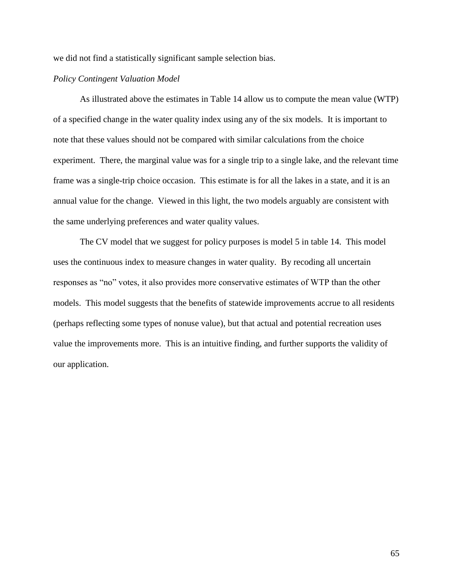we did not find a statistically significant sample selection bias.

## *Policy Contingent Valuation Model*

As illustrated above the estimates in Table 14 allow us to compute the mean value (WTP) of a specified change in the water quality index using any of the six models. It is important to note that these values should not be compared with similar calculations from the choice experiment. There, the marginal value was for a single trip to a single lake, and the relevant time frame was a single-trip choice occasion. This estimate is for all the lakes in a state, and it is an annual value for the change. Viewed in this light, the two models arguably are consistent with the same underlying preferences and water quality values.

The CV model that we suggest for policy purposes is model 5 in table 14. This model uses the continuous index to measure changes in water quality. By recoding all uncertain responses as "no" votes, it also provides more conservative estimates of WTP than the other models. This model suggests that the benefits of statewide improvements accrue to all residents (perhaps reflecting some types of nonuse value), but that actual and potential recreation uses value the improvements more. This is an intuitive finding, and further supports the validity of our application.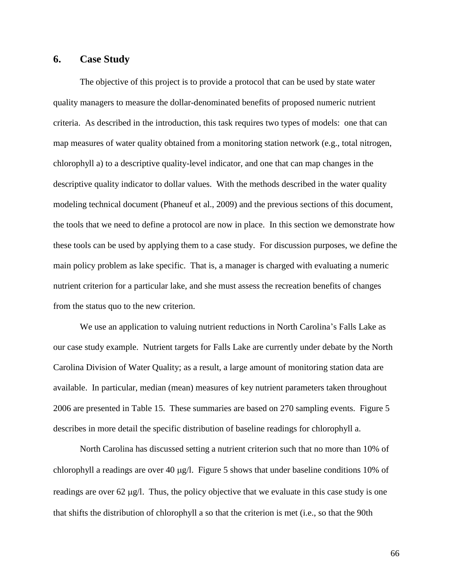# **6. Case Study**

The objective of this project is to provide a protocol that can be used by state water quality managers to measure the dollar-denominated benefits of proposed numeric nutrient criteria. As described in the introduction, this task requires two types of models: one that can map measures of water quality obtained from a monitoring station network (e.g., total nitrogen, chlorophyll a) to a descriptive quality-level indicator, and one that can map changes in the descriptive quality indicator to dollar values. With the methods described in the water quality modeling technical document (Phaneuf et al., 2009) and the previous sections of this document, the tools that we need to define a protocol are now in place. In this section we demonstrate how these tools can be used by applying them to a case study. For discussion purposes, we define the main policy problem as lake specific. That is, a manager is charged with evaluating a numeric nutrient criterion for a particular lake, and she must assess the recreation benefits of changes from the status quo to the new criterion.

We use an application to valuing nutrient reductions in North Carolina's Falls Lake as our case study example. Nutrient targets for Falls Lake are currently under debate by the North Carolina Division of Water Quality; as a result, a large amount of monitoring station data are available. In particular, median (mean) measures of key nutrient parameters taken throughout 2006 are presented in Table 15. These summaries are based on 270 sampling events. Figure 5 describes in more detail the specific distribution of baseline readings for chlorophyll a.

North Carolina has discussed setting a nutrient criterion such that no more than 10% of chlorophyll a readings are over 40  $\mu$ g/l. Figure 5 shows that under baseline conditions 10% of readings are over 62  $\mu$ g/l. Thus, the policy objective that we evaluate in this case study is one that shifts the distribution of chlorophyll a so that the criterion is met (i.e., so that the 90th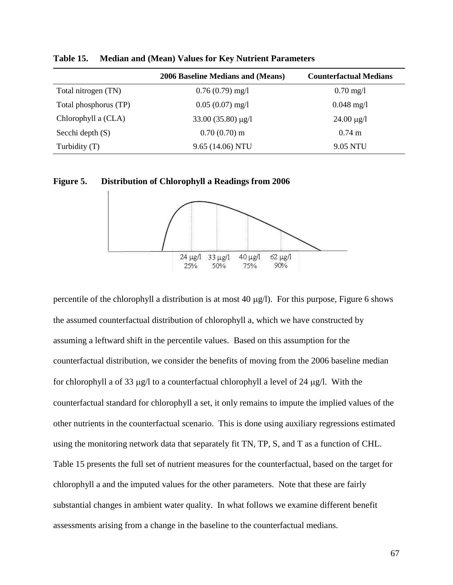|                       | 2006 Baseline Medians and (Means) | <b>Counterfactual Medians</b> |
|-----------------------|-----------------------------------|-------------------------------|
| Total nitrogen (TN)   | $0.76(0.79)$ mg/l                 | $0.70 \,\mathrm{mg}/l$        |
| Total phosphorus (TP) | $0.05(0.07)$ mg/l                 | $0.048$ mg/l                  |
| Chlorophyll a (CLA)   | $33.00(35.80) \mu g/l$            | $24.00 \mu g/l$               |
| Secchi depth $(S)$    | $0.70(0.70)$ m                    | $0.74 \text{ m}$              |
| Turbidity (T)         | 9.65 (14.06) NTU                  | 9.05 NTU                      |

**Table 15. Median and (Mean) Values for Key Nutrient Parameters**

**Figure 5. Distribution of Chlorophyll a Readings from 2006**



percentile of the chlorophyll a distribution is at most 40  $\mu$ g/l). For this purpose, Figure 6 shows the assumed counterfactual distribution of chlorophyll a, which we have constructed by assuming a leftward shift in the percentile values. Based on this assumption for the counterfactual distribution, we consider the benefits of moving from the 2006 baseline median for chlorophyll a of 33  $\mu$ g/l to a counterfactual chlorophyll a level of 24  $\mu$ g/l. With the counterfactual standard for chlorophyll a set, it only remains to impute the implied values of the other nutrients in the counterfactual scenario. This is done using auxiliary regressions estimated using the monitoring network data that separately fit TN, TP, S, and T as a function of CHL. Table 15 presents the full set of nutrient measures for the counterfactual, based on the target for chlorophyll a and the imputed values for the other parameters. Note that these are fairly substantial changes in ambient water quality. In what follows we examine different benefit assessments arising from a change in the baseline to the counterfactual medians.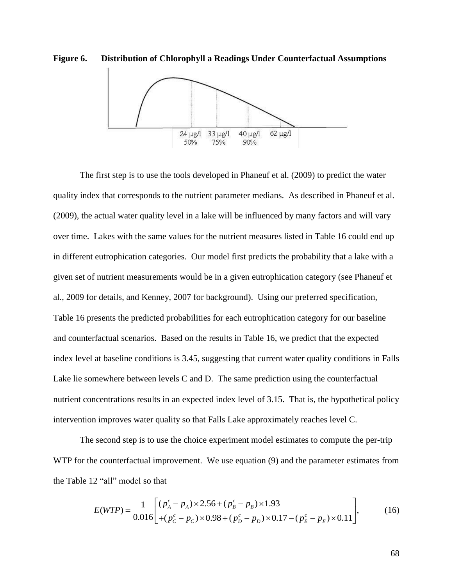



The first step is to use the tools developed in Phaneuf et al. (2009) to predict the water quality index that corresponds to the nutrient parameter medians. As described in Phaneuf et al. (2009), the actual water quality level in a lake will be influenced by many factors and will vary over time. Lakes with the same values for the nutrient measures listed in Table 16 could end up in different eutrophication categories. Our model first predicts the probability that a lake with a given set of nutrient measurements would be in a given eutrophication category (see Phaneuf et al., 2009 for details, and Kenney, 2007 for background). Using our preferred specification, Table 16 presents the predicted probabilities for each eutrophication category for our baseline and counterfactual scenarios. Based on the results in Table 16, we predict that the expected index level at baseline conditions is 3.45, suggesting that current water quality conditions in Falls Lake lie somewhere between levels C and D. The same prediction using the counterfactual nutrient concentrations results in an expected index level of 3.15. That is, the hypothetical policy intervention improves water quality so that Falls Lake approximately reaches level C.

The second step is to use the choice experiment model estimates to compute the per-trip WTP for the counterfactual improvement. We use equation (9) and the parameter estimates from that<br>  $\left[ (p_A^c - p_A) \times 2.56 + (p_B^c - p_B) \times 1.93 \right]$ , (16)

the Table 12 "all" model so that  
\n
$$
E(WTP) = \frac{1}{0.016} \begin{bmatrix} (p_a^c - p_A) \times 2.56 + (p_b^c - p_B) \times 1.93 \\ + (p_c^c - p_C) \times 0.98 + (p_b^c - p_D) \times 0.17 - (p_c^c - p_E) \times 0.11 \end{bmatrix},
$$
\n(16)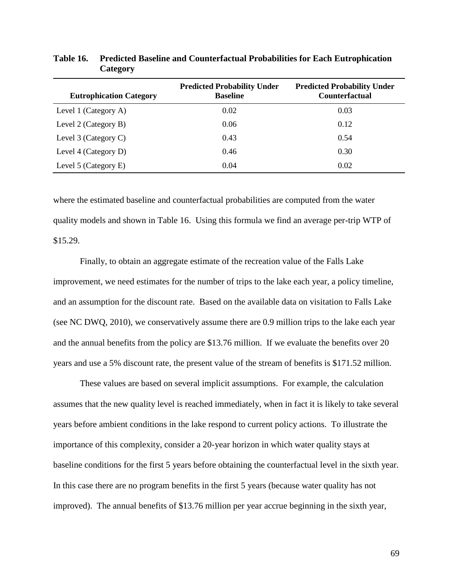| <b>Eutrophication Category</b> | <b>Predicted Probability Under</b><br><b>Baseline</b> | <b>Predicted Probability Under</b><br><b>Counterfactual</b> |
|--------------------------------|-------------------------------------------------------|-------------------------------------------------------------|
| Level 1 (Category A)           | 0.02                                                  | 0.03                                                        |
| Level 2 (Category B)           | 0.06                                                  | 0.12                                                        |
| Level 3 (Category C)           | 0.43                                                  | 0.54                                                        |
| Level 4 (Category D)           | 0.46                                                  | 0.30                                                        |
| Level 5 (Category E)           | 0.04                                                  | 0.02                                                        |

**Table 16. Predicted Baseline and Counterfactual Probabilities for Each Eutrophication Category**

where the estimated baseline and counterfactual probabilities are computed from the water quality models and shown in Table 16. Using this formula we find an average per-trip WTP of \$15.29.

Finally, to obtain an aggregate estimate of the recreation value of the Falls Lake improvement, we need estimates for the number of trips to the lake each year, a policy timeline, and an assumption for the discount rate. Based on the available data on visitation to Falls Lake (see NC DWQ, 2010), we conservatively assume there are 0.9 million trips to the lake each year and the annual benefits from the policy are \$13.76 million. If we evaluate the benefits over 20 years and use a 5% discount rate, the present value of the stream of benefits is \$171.52 million.

These values are based on several implicit assumptions. For example, the calculation assumes that the new quality level is reached immediately, when in fact it is likely to take several years before ambient conditions in the lake respond to current policy actions. To illustrate the importance of this complexity, consider a 20-year horizon in which water quality stays at baseline conditions for the first 5 years before obtaining the counterfactual level in the sixth year. In this case there are no program benefits in the first 5 years (because water quality has not improved). The annual benefits of \$13.76 million per year accrue beginning in the sixth year,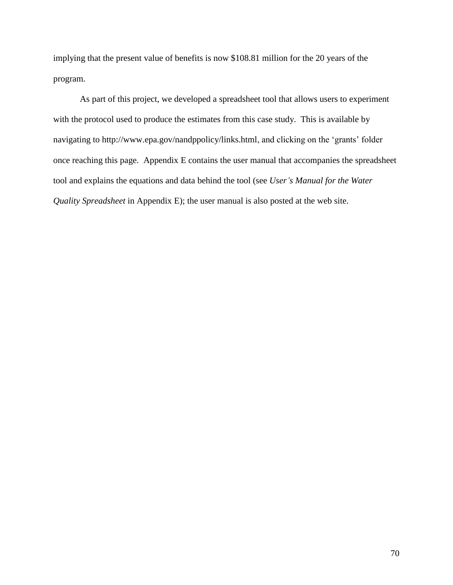implying that the present value of benefits is now \$108.81 million for the 20 years of the program.

As part of this project, we developed a spreadsheet tool that allows users to experiment with the protocol used to produce the estimates from this case study. This is available by navigating to [http://www.epa.gov/nandppolicy/links.html,](http://www.epa.gov/nandppolicy/links.html) and clicking on the 'grants' folder once reaching this page. Appendix E contains the user manual that accompanies the spreadsheet tool and explains the equations and data behind the tool (see *User's Manual for the Water Quality Spreadsheet* in Appendix E); the user manual is also posted at the web site.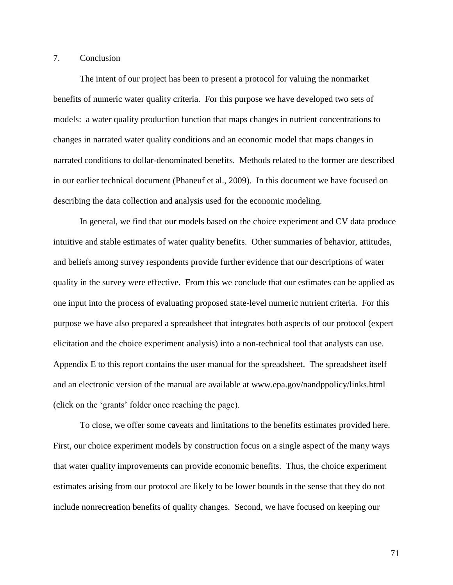## 7. Conclusion

The intent of our project has been to present a protocol for valuing the nonmarket benefits of numeric water quality criteria. For this purpose we have developed two sets of models: a water quality production function that maps changes in nutrient concentrations to changes in narrated water quality conditions and an economic model that maps changes in narrated conditions to dollar-denominated benefits. Methods related to the former are described in our earlier technical document (Phaneuf et al., 2009). In this document we have focused on describing the data collection and analysis used for the economic modeling.

In general, we find that our models based on the choice experiment and CV data produce intuitive and stable estimates of water quality benefits. Other summaries of behavior, attitudes, and beliefs among survey respondents provide further evidence that our descriptions of water quality in the survey were effective. From this we conclude that our estimates can be applied as one input into the process of evaluating proposed state-level numeric nutrient criteria. For this purpose we have also prepared a spreadsheet that integrates both aspects of our protocol (expert elicitation and the choice experiment analysis) into a non-technical tool that analysts can use. Appendix E to this report contains the user manual for the spreadsheet. The spreadsheet itself and an electronic version of the manual are available at [www.epa.gov/nandppolicy/links.html](http://www.epa.gov/nandppolicy/links.html) (click on the 'grants' folder once reaching the page).

To close, we offer some caveats and limitations to the benefits estimates provided here. First, our choice experiment models by construction focus on a single aspect of the many ways that water quality improvements can provide economic benefits. Thus, the choice experiment estimates arising from our protocol are likely to be lower bounds in the sense that they do not include nonrecreation benefits of quality changes. Second, we have focused on keeping our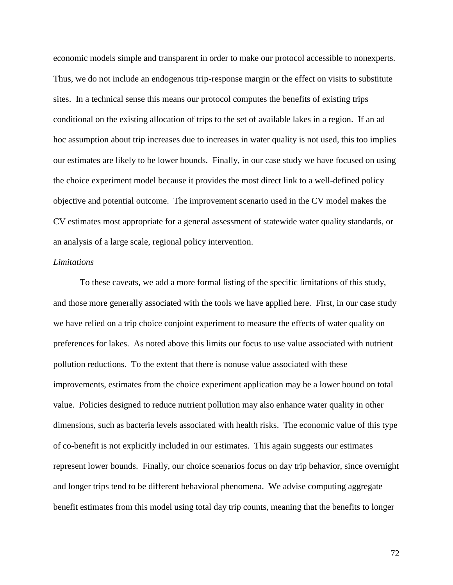economic models simple and transparent in order to make our protocol accessible to nonexperts. Thus, we do not include an endogenous trip-response margin or the effect on visits to substitute sites. In a technical sense this means our protocol computes the benefits of existing trips conditional on the existing allocation of trips to the set of available lakes in a region. If an ad hoc assumption about trip increases due to increases in water quality is not used, this too implies our estimates are likely to be lower bounds. Finally, in our case study we have focused on using the choice experiment model because it provides the most direct link to a well-defined policy objective and potential outcome. The improvement scenario used in the CV model makes the CV estimates most appropriate for a general assessment of statewide water quality standards, or an analysis of a large scale, regional policy intervention.

## *Limitations*

To these caveats, we add a more formal listing of the specific limitations of this study, and those more generally associated with the tools we have applied here. First, in our case study we have relied on a trip choice conjoint experiment to measure the effects of water quality on preferences for lakes. As noted above this limits our focus to use value associated with nutrient pollution reductions. To the extent that there is nonuse value associated with these improvements, estimates from the choice experiment application may be a lower bound on total value. Policies designed to reduce nutrient pollution may also enhance water quality in other dimensions, such as bacteria levels associated with health risks. The economic value of this type of co-benefit is not explicitly included in our estimates. This again suggests our estimates represent lower bounds. Finally, our choice scenarios focus on day trip behavior, since overnight and longer trips tend to be different behavioral phenomena. We advise computing aggregate benefit estimates from this model using total day trip counts, meaning that the benefits to longer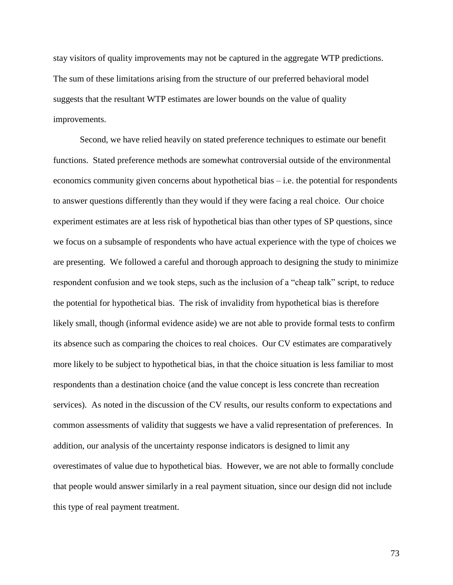stay visitors of quality improvements may not be captured in the aggregate WTP predictions. The sum of these limitations arising from the structure of our preferred behavioral model suggests that the resultant WTP estimates are lower bounds on the value of quality improvements.

Second, we have relied heavily on stated preference techniques to estimate our benefit functions. Stated preference methods are somewhat controversial outside of the environmental economics community given concerns about hypothetical bias – i.e. the potential for respondents to answer questions differently than they would if they were facing a real choice. Our choice experiment estimates are at less risk of hypothetical bias than other types of SP questions, since we focus on a subsample of respondents who have actual experience with the type of choices we are presenting. We followed a careful and thorough approach to designing the study to minimize respondent confusion and we took steps, such as the inclusion of a "cheap talk" script, to reduce the potential for hypothetical bias. The risk of invalidity from hypothetical bias is therefore likely small, though (informal evidence aside) we are not able to provide formal tests to confirm its absence such as comparing the choices to real choices. Our CV estimates are comparatively more likely to be subject to hypothetical bias, in that the choice situation is less familiar to most respondents than a destination choice (and the value concept is less concrete than recreation services). As noted in the discussion of the CV results, our results conform to expectations and common assessments of validity that suggests we have a valid representation of preferences. In addition, our analysis of the uncertainty response indicators is designed to limit any overestimates of value due to hypothetical bias. However, we are not able to formally conclude that people would answer similarly in a real payment situation, since our design did not include this type of real payment treatment.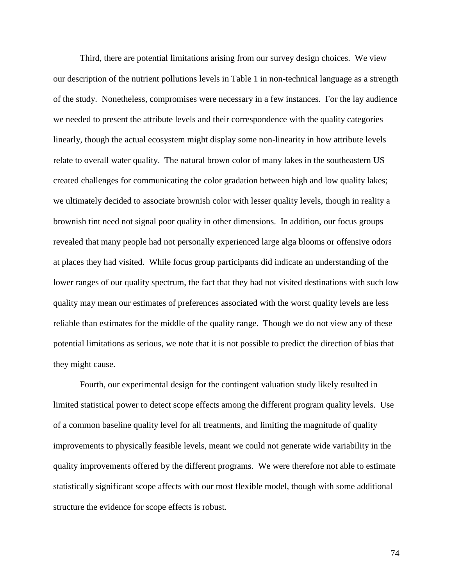Third, there are potential limitations arising from our survey design choices. We view our description of the nutrient pollutions levels in Table 1 in non-technical language as a strength of the study. Nonetheless, compromises were necessary in a few instances. For the lay audience we needed to present the attribute levels and their correspondence with the quality categories linearly, though the actual ecosystem might display some non-linearity in how attribute levels relate to overall water quality. The natural brown color of many lakes in the southeastern US created challenges for communicating the color gradation between high and low quality lakes; we ultimately decided to associate brownish color with lesser quality levels, though in reality a brownish tint need not signal poor quality in other dimensions. In addition, our focus groups revealed that many people had not personally experienced large alga blooms or offensive odors at places they had visited. While focus group participants did indicate an understanding of the lower ranges of our quality spectrum, the fact that they had not visited destinations with such low quality may mean our estimates of preferences associated with the worst quality levels are less reliable than estimates for the middle of the quality range. Though we do not view any of these potential limitations as serious, we note that it is not possible to predict the direction of bias that they might cause.

Fourth, our experimental design for the contingent valuation study likely resulted in limited statistical power to detect scope effects among the different program quality levels. Use of a common baseline quality level for all treatments, and limiting the magnitude of quality improvements to physically feasible levels, meant we could not generate wide variability in the quality improvements offered by the different programs. We were therefore not able to estimate statistically significant scope affects with our most flexible model, though with some additional structure the evidence for scope effects is robust.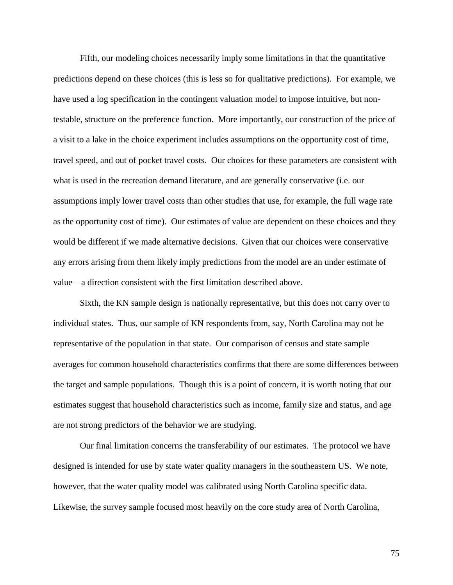Fifth, our modeling choices necessarily imply some limitations in that the quantitative predictions depend on these choices (this is less so for qualitative predictions). For example, we have used a log specification in the contingent valuation model to impose intuitive, but nontestable, structure on the preference function. More importantly, our construction of the price of a visit to a lake in the choice experiment includes assumptions on the opportunity cost of time, travel speed, and out of pocket travel costs. Our choices for these parameters are consistent with what is used in the recreation demand literature, and are generally conservative (i.e. our assumptions imply lower travel costs than other studies that use, for example, the full wage rate as the opportunity cost of time). Our estimates of value are dependent on these choices and they would be different if we made alternative decisions. Given that our choices were conservative any errors arising from them likely imply predictions from the model are an under estimate of value – a direction consistent with the first limitation described above.

Sixth, the KN sample design is nationally representative, but this does not carry over to individual states. Thus, our sample of KN respondents from, say, North Carolina may not be representative of the population in that state. Our comparison of census and state sample averages for common household characteristics confirms that there are some differences between the target and sample populations. Though this is a point of concern, it is worth noting that our estimates suggest that household characteristics such as income, family size and status, and age are not strong predictors of the behavior we are studying.

Our final limitation concerns the transferability of our estimates. The protocol we have designed is intended for use by state water quality managers in the southeastern US. We note, however, that the water quality model was calibrated using North Carolina specific data. Likewise, the survey sample focused most heavily on the core study area of North Carolina,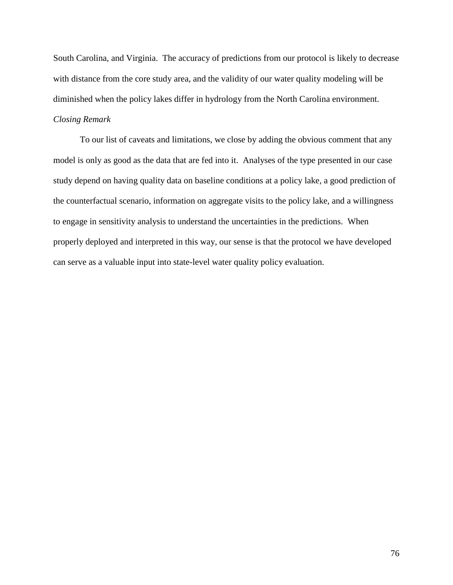South Carolina, and Virginia. The accuracy of predictions from our protocol is likely to decrease with distance from the core study area, and the validity of our water quality modeling will be diminished when the policy lakes differ in hydrology from the North Carolina environment.

## *Closing Remark*

To our list of caveats and limitations, we close by adding the obvious comment that any model is only as good as the data that are fed into it. Analyses of the type presented in our case study depend on having quality data on baseline conditions at a policy lake, a good prediction of the counterfactual scenario, information on aggregate visits to the policy lake, and a willingness to engage in sensitivity analysis to understand the uncertainties in the predictions. When properly deployed and interpreted in this way, our sense is that the protocol we have developed can serve as a valuable input into state-level water quality policy evaluation.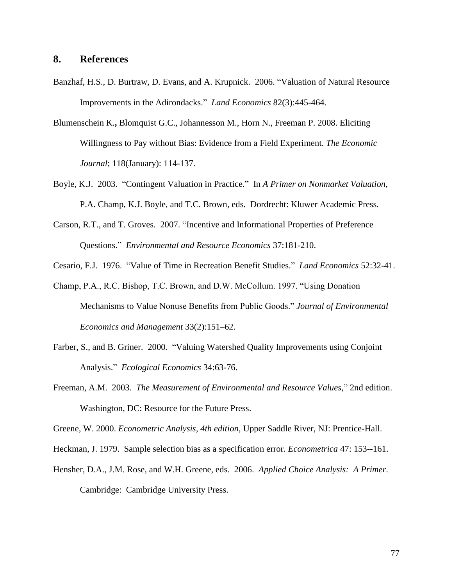## **8. References**

- Banzhaf, H.S., D. Burtraw, D. Evans, and A. Krupnick. 2006. "Valuation of Natural Resource Improvements in the Adirondacks." *Land Economics* 82(3):445-464.
- Blumenschein K.**,** Blomquist G.C., Johannesson M., Horn N., Freeman P. 2008. Eliciting Willingness to Pay without Bias: Evidence from a Field Experiment. *The Economic Journal*; 118(January): 114-137.
- Boyle, K.J. 2003. "Contingent Valuation in Practice." In *A Primer on Nonmarket Valuation,* P.A. Champ, K.J. Boyle, and T.C. Brown, eds. Dordrecht: Kluwer Academic Press.
- Carson, R.T., and T. Groves. 2007. "Incentive and Informational Properties of Preference Questions." *Environmental and Resource Economics* 37:181-210.
- Cesario, F.J. 1976. "Value of Time in Recreation Benefit Studies." *Land Economics* 52:32-41.
- Champ, P.A., R.C. Bishop, T.C. Brown, and D.W. McCollum. 1997. "Using Donation Mechanisms to Value Nonuse Benefits from Public Goods." *Journal of Environmental Economics and Management* 33(2):151–62.
- Farber, S., and B. Griner. 2000. "Valuing Watershed Quality Improvements using Conjoint Analysis." *Ecological Economics* 34:63-76.
- Freeman, A.M. 2003. *The Measurement of Environmental and Resource Values*," 2nd edition. Washington, DC: Resource for the Future Press.

Greene, W. 2000. *Econometric Analysis, 4th edition*, Upper Saddle River, NJ: Prentice-Hall.

- Heckman, J. 1979. Sample selection bias as a specification error. *Econometrica* 47: 153--161.
- Hensher, D.A., J.M. Rose, and W.H. Greene, eds. 2006. *Applied Choice Analysis: A Primer*. Cambridge: Cambridge University Press.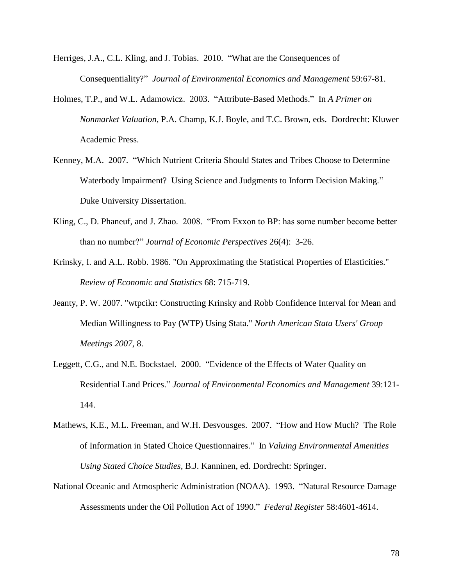- Herriges, J.A., C.L. Kling, and J. Tobias. 2010. "What are the Consequences of Consequentiality?" *Journal of Environmental Economics and Management* 59:67-81.
- Holmes, T.P., and W.L. Adamowicz. 2003. "Attribute-Based Methods." In *A Primer on Nonmarket Valuation,* P.A. Champ, K.J. Boyle, and T.C. Brown, eds. Dordrecht: Kluwer Academic Press.
- Kenney, M.A. 2007. "Which Nutrient Criteria Should States and Tribes Choose to Determine Waterbody Impairment? Using Science and Judgments to Inform Decision Making." Duke University Dissertation.
- Kling, C., D. Phaneuf, and J. Zhao. 2008. "From Exxon to BP: has some number become better than no number?" *Journal of Economic Perspectives* 26(4): 3-26.
- Krinsky, I. and A.L. Robb. 1986. "On Approximating the Statistical Properties of Elasticities." *Review of Economic and Statistics* 68: 715-719.
- Jeanty, P. W. 2007. "wtpcikr: Constructing Krinsky and Robb Confidence Interval for Mean and Median Willingness to Pay (WTP) Using Stata." *North American Stata Users' Group Meetings 2007*, 8.
- Leggett, C.G., and N.E. Bockstael. 2000. "Evidence of the Effects of Water Quality on Residential Land Prices." *Journal of Environmental Economics and Management* 39:121- 144.
- Mathews, K.E., M.L. Freeman, and W.H. Desvousges. 2007. "How and How Much? The Role of Information in Stated Choice Questionnaires." In *Valuing Environmental Amenities Using Stated Choice Studies,* B.J. Kanninen, ed. Dordrecht: Springer.
- National Oceanic and Atmospheric Administration (NOAA). 1993. "Natural Resource Damage Assessments under the Oil Pollution Act of 1990." *Federal Register* 58:4601-4614.